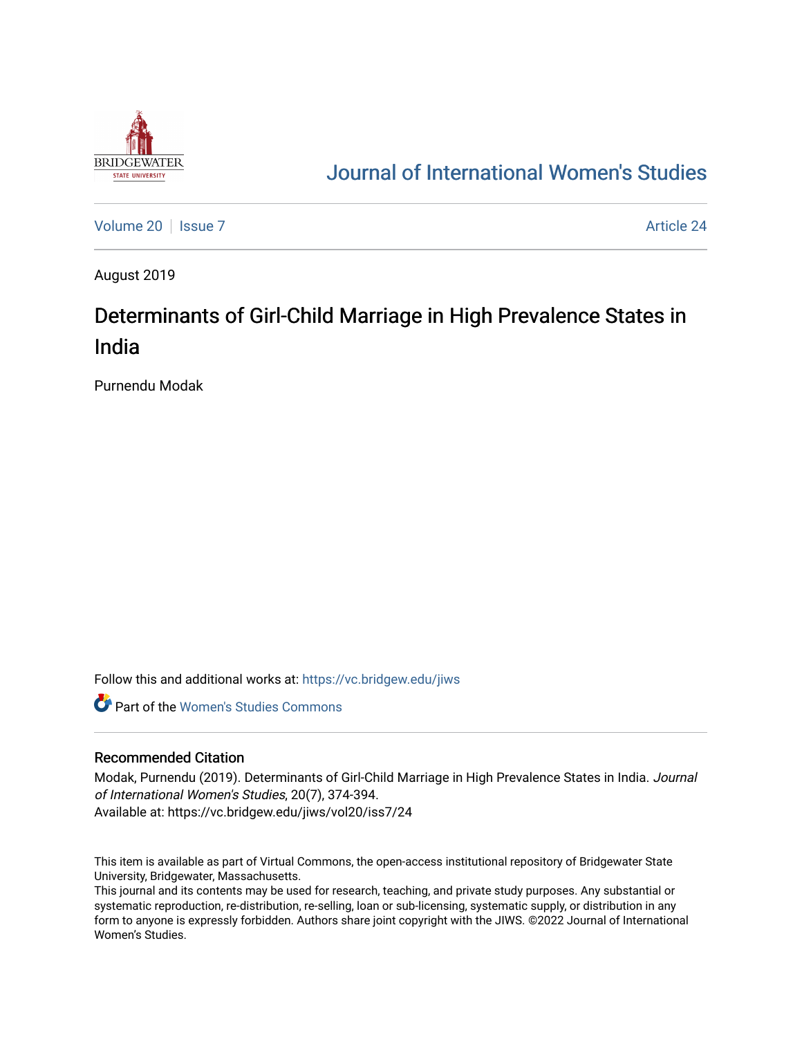

# [Journal of International Women's Studies](https://vc.bridgew.edu/jiws)

[Volume 20](https://vc.bridgew.edu/jiws/vol20) | [Issue 7](https://vc.bridgew.edu/jiws/vol20/iss7) Article 24

August 2019

# Determinants of Girl-Child Marriage in High Prevalence States in India

Purnendu Modak

Follow this and additional works at: [https://vc.bridgew.edu/jiws](https://vc.bridgew.edu/jiws?utm_source=vc.bridgew.edu%2Fjiws%2Fvol20%2Fiss7%2F24&utm_medium=PDF&utm_campaign=PDFCoverPages)

**C** Part of the Women's Studies Commons

#### Recommended Citation

Modak, Purnendu (2019). Determinants of Girl-Child Marriage in High Prevalence States in India. Journal of International Women's Studies, 20(7), 374-394. Available at: https://vc.bridgew.edu/jiws/vol20/iss7/24

This item is available as part of Virtual Commons, the open-access institutional repository of Bridgewater State University, Bridgewater, Massachusetts.

This journal and its contents may be used for research, teaching, and private study purposes. Any substantial or systematic reproduction, re-distribution, re-selling, loan or sub-licensing, systematic supply, or distribution in any form to anyone is expressly forbidden. Authors share joint copyright with the JIWS. ©2022 Journal of International Women's Studies.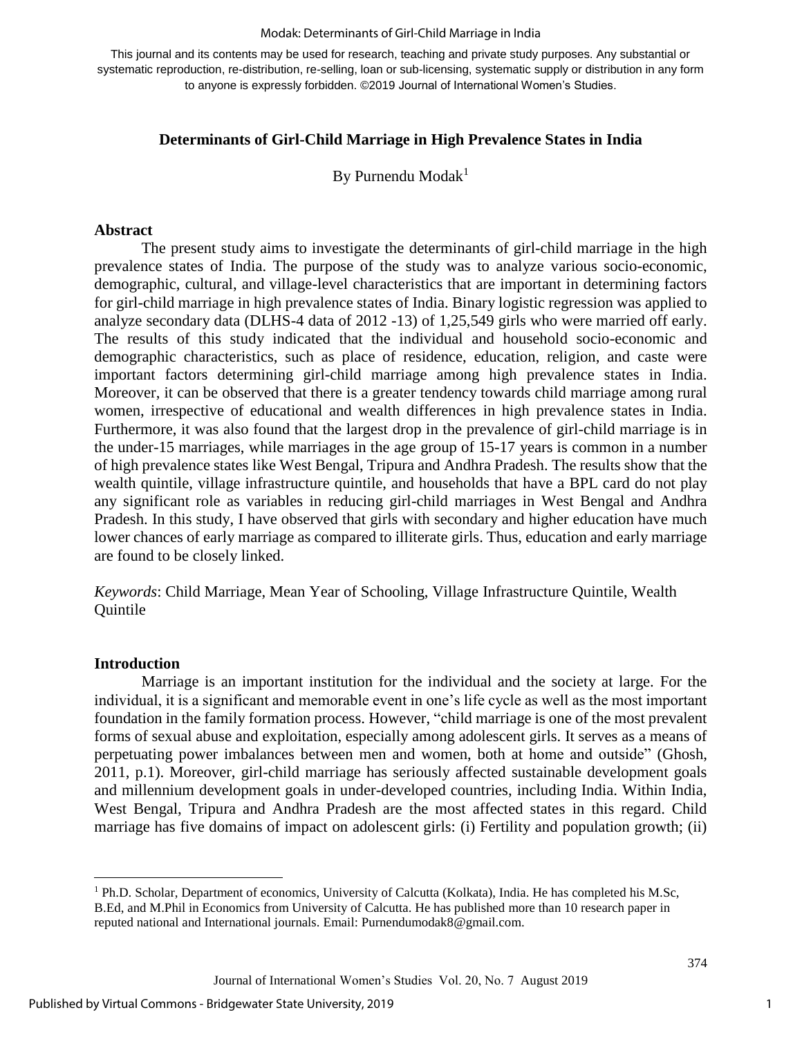#### Modak: Determinants of Girl-Child Marriage in India

This journal and its contents may be used for research, teaching and private study purposes. Any substantial or systematic reproduction, re-distribution, re-selling, loan or sub-licensing, systematic supply or distribution in any form to anyone is expressly forbidden. ©2019 Journal of International Women's Studies.

## **Determinants of Girl-Child Marriage in High Prevalence States in India**

By Purnendu Moda $k<sup>1</sup>$ 

### **Abstract**

The present study aims to investigate the determinants of girl-child marriage in the high prevalence states of India. The purpose of the study was to analyze various socio-economic, demographic, cultural, and village-level characteristics that are important in determining factors for girl-child marriage in high prevalence states of India. Binary logistic regression was applied to analyze secondary data (DLHS-4 data of 2012 -13) of 1,25,549 girls who were married off early. The results of this study indicated that the individual and household socio-economic and demographic characteristics, such as place of residence, education, religion, and caste were important factors determining girl-child marriage among high prevalence states in India. Moreover, it can be observed that there is a greater tendency towards child marriage among rural women, irrespective of educational and wealth differences in high prevalence states in India. Furthermore, it was also found that the largest drop in the prevalence of girl-child marriage is in the under-15 marriages, while marriages in the age group of 15-17 years is common in a number of high prevalence states like West Bengal, Tripura and Andhra Pradesh. The results show that the wealth quintile, village infrastructure quintile, and households that have a BPL card do not play any significant role as variables in reducing girl-child marriages in West Bengal and Andhra Pradesh. In this study, I have observed that girls with secondary and higher education have much lower chances of early marriage as compared to illiterate girls. Thus, education and early marriage are found to be closely linked.

*Keywords*: Child Marriage, Mean Year of Schooling, Village Infrastructure Quintile, Wealth Quintile

#### **Introduction**

 $\overline{\phantom{a}}$ 

Marriage is an important institution for the individual and the society at large. For the individual, it is a significant and memorable event in one's life cycle as well as the most important foundation in the family formation process. However, "child marriage is one of the most prevalent forms of sexual abuse and exploitation, especially among adolescent girls. It serves as a means of perpetuating power imbalances between men and women, both at home and outside" (Ghosh, 2011, p.1). Moreover, girl-child marriage has seriously affected sustainable development goals and millennium development goals in under-developed countries, including India. Within India, West Bengal, Tripura and Andhra Pradesh are the most affected states in this regard. Child marriage has five domains of impact on adolescent girls: (i) Fertility and population growth; (ii)

<sup>1</sup> Ph.D. Scholar, Department of economics, University of Calcutta (Kolkata), India. He has completed his M.Sc, B.Ed, and M.Phil in Economics from University of Calcutta. He has published more than 10 research paper in reputed national and International journals. Email: [Purnendumodak8@gmail.com.](mailto:Purnendumodak8@gmail.com)

Journal of International Women's Studies Vol. 20, No. 7 August 2019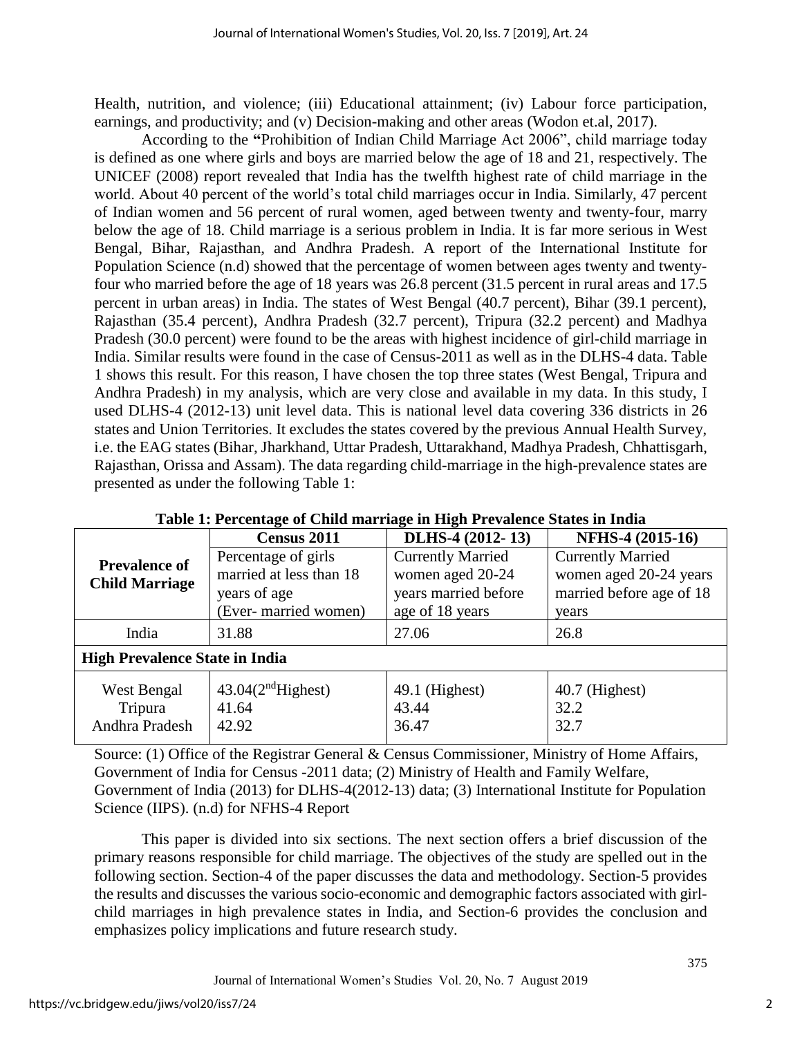Health, nutrition, and violence; (iii) Educational attainment; (iv) Labour force participation, earnings, and productivity; and (v) Decision-making and other areas (Wodon et.al, 2017).

According to the **"**Prohibition of Indian Child Marriage Act 2006", child marriage today is defined as one where girls and boys are married below the age of 18 and 21, respectively. The UNICEF (2008) report revealed that India has the twelfth highest rate of child marriage in the world. About 40 percent of the world's total child marriages occur in India. Similarly, 47 percent of Indian women and 56 percent of rural women, aged between twenty and twenty-four, marry below the age of 18. Child marriage is a serious problem in India. It is far more serious in West Bengal, Bihar, Rajasthan, and Andhra Pradesh. A report of the International Institute for Population Science (n.d) showed that the percentage of women between ages twenty and twentyfour who married before the age of 18 years was 26.8 percent (31.5 percent in rural areas and 17.5 percent in urban areas) in India. The states of West Bengal (40.7 percent), Bihar (39.1 percent), Rajasthan (35.4 percent), Andhra Pradesh (32.7 percent), Tripura (32.2 percent) and Madhya Pradesh (30.0 percent) were found to be the areas with highest incidence of girl-child marriage in India. Similar results were found in the case of Census-2011 as well as in the DLHS-4 data. Table 1 shows this result. For this reason, I have chosen the top three states (West Bengal, Tripura and Andhra Pradesh) in my analysis, which are very close and available in my data. In this study, I used DLHS-4 (2012-13) unit level data. This is national level data covering 336 districts in 26 states and Union Territories. It excludes the states covered by the previous Annual Health Survey, i.e. the EAG states (Bihar, Jharkhand, Uttar Pradesh, Uttarakhand, Madhya Pradesh, Chhattisgarh, Rajasthan, Orissa and Assam). The data regarding child-marriage in the high-prevalence states are presented as under the following Table 1:

|                                       | <b>Census 2011</b>            | DLHS-4 (2012-13)         | NFHS-4 (2015-16)         |
|---------------------------------------|-------------------------------|--------------------------|--------------------------|
| <b>Prevalence of</b>                  | Percentage of girls           | <b>Currently Married</b> | <b>Currently Married</b> |
| <b>Child Marriage</b>                 | married at less than 18       | women aged 20-24         | women aged 20-24 years   |
|                                       | years of age                  | years married before     | married before age of 18 |
|                                       | (Ever- married women)         | age of 18 years          | years                    |
| India                                 | 31.88                         | 27.06                    | 26.8                     |
| <b>High Prevalence State in India</b> |                               |                          |                          |
| West Bengal                           | 43.04(2 <sup>nd</sup> Higher) | 49.1 (Highest)           | $40.7$ (Highest)         |
| Tripura                               | 41.64                         | 43.44                    | 32.2                     |
| Andhra Pradesh                        | 42.92                         | 36.47                    | 32.7                     |
|                                       |                               |                          |                          |

**Table 1: Percentage of Child marriage in High Prevalence States in India**

Source: (1) Office of the Registrar General & Census Commissioner, Ministry of Home Affairs, Government of India for Census -2011 data; (2) Ministry of Health and Family Welfare, Government of India (2013) for DLHS-4(2012-13) data; (3) International Institute for Population Science (IIPS). (n.d) for NFHS-4 Report

This paper is divided into six sections. The next section offers a brief discussion of the primary reasons responsible for child marriage. The objectives of the study are spelled out in the following section. Section-4 of the paper discusses the data and methodology. Section-5 provides the results and discusses the various socio-economic and demographic factors associated with girlchild marriages in high prevalence states in India, and Section-6 provides the conclusion and emphasizes policy implications and future research study.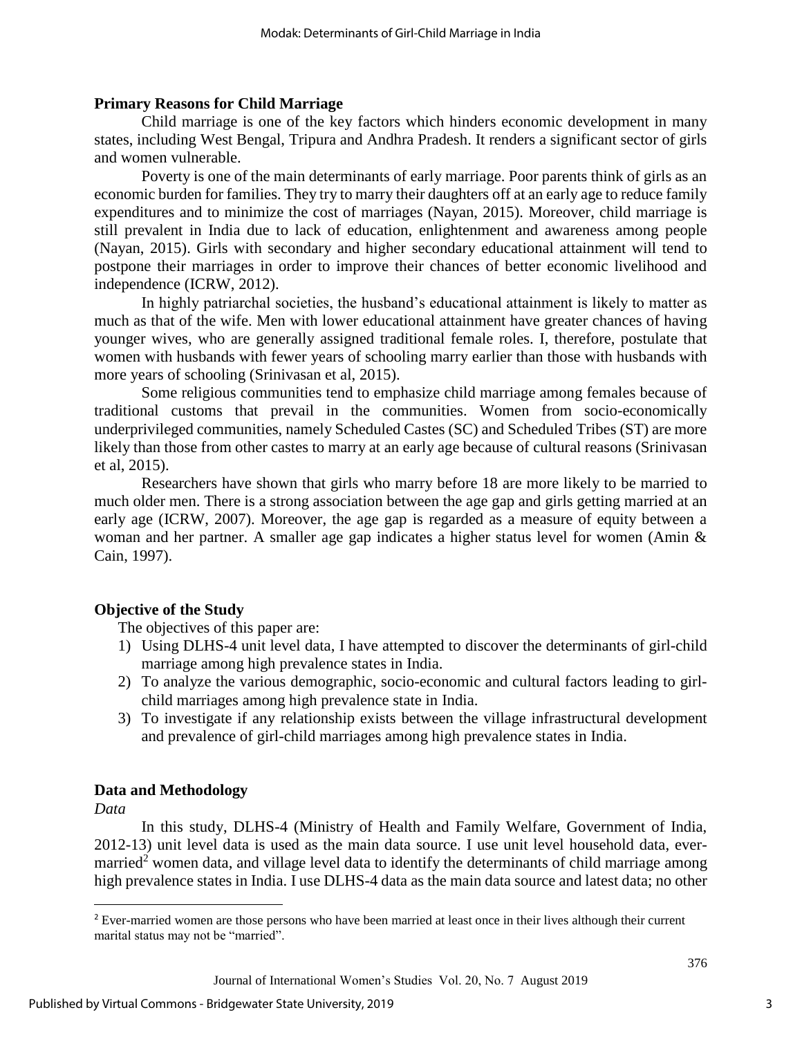## **Primary Reasons for Child Marriage**

Child marriage is one of the key factors which hinders economic development in many states, including West Bengal, Tripura and Andhra Pradesh. It renders a significant sector of girls and women vulnerable.

Poverty is one of the main determinants of early marriage. Poor parents think of girls as an economic burden for families. They try to marry their daughters off at an early age to reduce family expenditures and to minimize the cost of marriages (Nayan, 2015). Moreover, child marriage is still prevalent in India due to lack of education, enlightenment and awareness among people (Nayan, 2015). Girls with secondary and higher secondary educational attainment will tend to postpone their marriages in order to improve their chances of better economic livelihood and independence (ICRW, 2012).

In highly patriarchal societies, the husband's educational attainment is likely to matter as much as that of the wife. Men with lower educational attainment have greater chances of having younger wives, who are generally assigned traditional female roles. I, therefore, postulate that women with husbands with fewer years of schooling marry earlier than those with husbands with more years of schooling (Srinivasan et al, 2015).

Some religious communities tend to emphasize child marriage among females because of traditional customs that prevail in the communities. Women from socio-economically underprivileged communities, namely Scheduled Castes (SC) and Scheduled Tribes (ST) are more likely than those from other castes to marry at an early age because of cultural reasons (Srinivasan et al, 2015).

Researchers have shown that girls who marry before 18 are more likely to be married to much older men. There is a strong association between the age gap and girls getting married at an early age (ICRW, 2007). Moreover, the age gap is regarded as a measure of equity between a woman and her partner. A smaller age gap indicates a higher status level for women (Amin & Cain, 1997).

# **Objective of the Study**

The objectives of this paper are:

- 1) Using DLHS-4 unit level data, I have attempted to discover the determinants of girl-child marriage among high prevalence states in India.
- 2) To analyze the various demographic, socio-economic and cultural factors leading to girlchild marriages among high prevalence state in India.
- 3) To investigate if any relationship exists between the village infrastructural development and prevalence of girl-child marriages among high prevalence states in India.

# **Data and Methodology**

*Data*

l

In this study, DLHS-4 (Ministry of Health and Family Welfare, Government of India, 2012-13) unit level data is used as the main data source. I use unit level household data, evermarried<sup>2</sup> women data, and village level data to identify the determinants of child marriage among high prevalence states in India. I use DLHS-4 data as the main data source and latest data; no other

<sup>&</sup>lt;sup>2</sup> Ever-married women are those persons who have been married at least once in their lives although their current marital status may not be "married".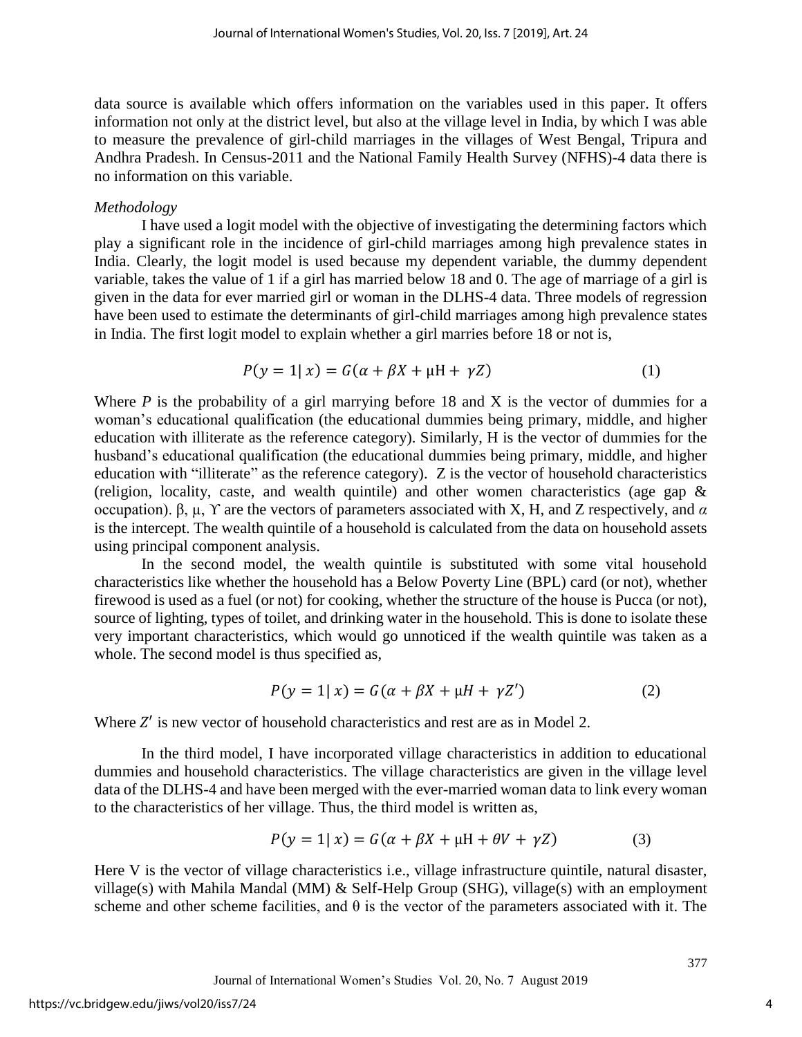data source is available which offers information on the variables used in this paper. It offers information not only at the district level, but also at the village level in India, by which I was able to measure the prevalence of girl-child marriages in the villages of West Bengal, Tripura and Andhra Pradesh. In Census-2011 and the National Family Health Survey (NFHS)-4 data there is no information on this variable.

#### *Methodology*

I have used a logit model with the objective of investigating the determining factors which play a significant role in the incidence of girl-child marriages among high prevalence states in India. Clearly, the logit model is used because my dependent variable, the dummy dependent variable, takes the value of 1 if a girl has married below 18 and 0. The age of marriage of a girl is given in the data for ever married girl or woman in the DLHS-4 data. Three models of regression have been used to estimate the determinants of girl-child marriages among high prevalence states in India. The first logit model to explain whether a girl marries before 18 or not is,

$$
P(y = 1 | x) = G(\alpha + \beta X + \mu H + \gamma Z)
$$
 (1)

Where  $P$  is the probability of a girl marrying before 18 and  $X$  is the vector of dummies for a woman's educational qualification (the educational dummies being primary, middle, and higher education with illiterate as the reference category). Similarly, H is the vector of dummies for the husband's educational qualification (the educational dummies being primary, middle, and higher education with "illiterate" as the reference category). Z is the vector of household characteristics (religion, locality, caste, and wealth quintile) and other women characteristics (age gap & occupation). β, µ, ϒ are the vectors of parameters associated with X, H, and Z respectively, and *α* is the intercept. The wealth quintile of a household is calculated from the data on household assets using principal component analysis.

In the second model, the wealth quintile is substituted with some vital household characteristics like whether the household has a Below Poverty Line (BPL) card (or not), whether firewood is used as a fuel (or not) for cooking, whether the structure of the house is Pucca (or not), source of lighting, types of toilet, and drinking water in the household. This is done to isolate these very important characteristics, which would go unnoticed if the wealth quintile was taken as a whole. The second model is thus specified as,

$$
P(y = 1 | x) = G(\alpha + \beta X + \mu H + \gamma Z')
$$
 (2)

Where  $Z'$  is new vector of household characteristics and rest are as in Model 2.

In the third model, I have incorporated village characteristics in addition to educational dummies and household characteristics. The village characteristics are given in the village level data of the DLHS-4 and have been merged with the ever-married woman data to link every woman to the characteristics of her village. Thus, the third model is written as,

$$
P(y = 1 | x) = G(\alpha + \beta X + \mu H + \theta V + \gamma Z)
$$
\n(3)

Here V is the vector of village characteristics i.e., village infrastructure quintile, natural disaster, village(s) with Mahila Mandal (MM) & Self-Help Group (SHG), village(s) with an employment scheme and other scheme facilities, and  $\theta$  is the vector of the parameters associated with it. The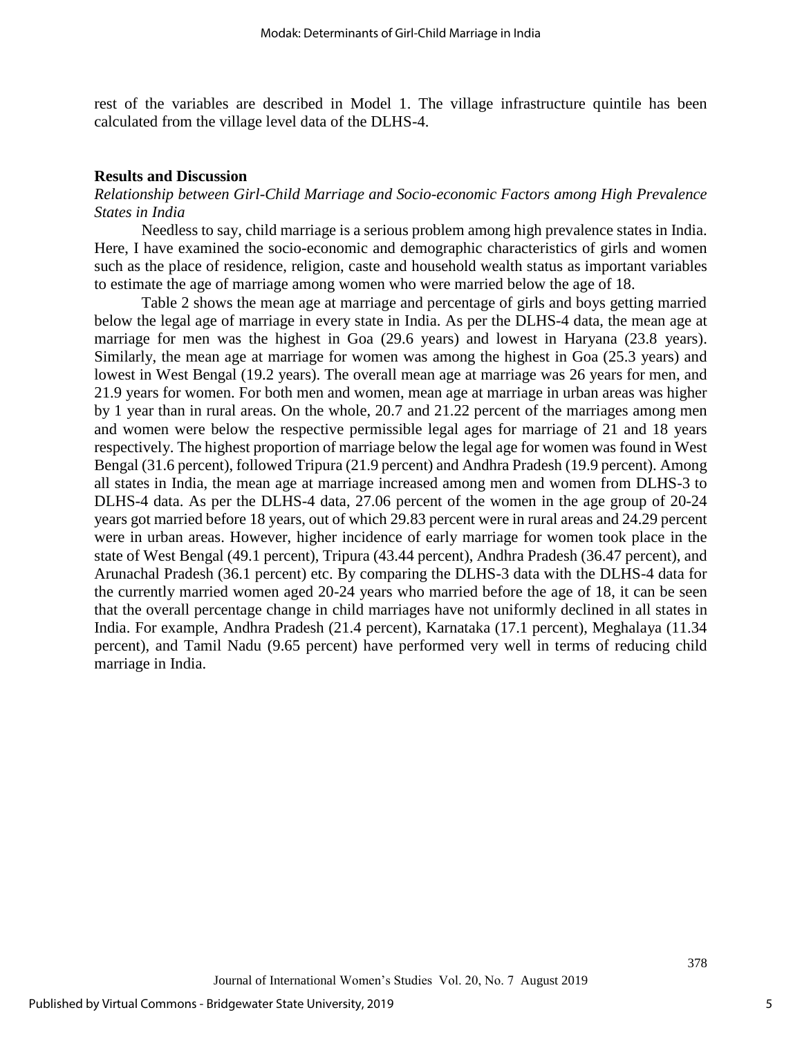rest of the variables are described in Model 1. The village infrastructure quintile has been calculated from the village level data of the DLHS-4.

#### **Results and Discussion**

## *Relationship between Girl-Child Marriage and Socio-economic Factors among High Prevalence States in India*

Needless to say, child marriage is a serious problem among high prevalence states in India. Here, I have examined the socio-economic and demographic characteristics of girls and women such as the place of residence, religion, caste and household wealth status as important variables to estimate the age of marriage among women who were married below the age of 18.

Table 2 shows the mean age at marriage and percentage of girls and boys getting married below the legal age of marriage in every state in India. As per the DLHS-4 data, the mean age at marriage for men was the highest in Goa (29.6 years) and lowest in Haryana (23.8 years). Similarly, the mean age at marriage for women was among the highest in Goa (25.3 years) and lowest in West Bengal (19.2 years). The overall mean age at marriage was 26 years for men, and 21.9 years for women. For both men and women, mean age at marriage in urban areas was higher by 1 year than in rural areas. On the whole, 20.7 and 21.22 percent of the marriages among men and women were below the respective permissible legal ages for marriage of 21 and 18 years respectively. The highest proportion of marriage below the legal age for women was found in West Bengal (31.6 percent), followed Tripura (21.9 percent) and Andhra Pradesh (19.9 percent). Among all states in India, the mean age at marriage increased among men and women from DLHS-3 to DLHS-4 data. As per the DLHS-4 data, 27.06 percent of the women in the age group of 20-24 years got married before 18 years, out of which 29.83 percent were in rural areas and 24.29 percent were in urban areas. However, higher incidence of early marriage for women took place in the state of West Bengal (49.1 percent), Tripura (43.44 percent), Andhra Pradesh (36.47 percent), and Arunachal Pradesh (36.1 percent) etc. By comparing the DLHS-3 data with the DLHS-4 data for the currently married women aged 20-24 years who married before the age of 18, it can be seen that the overall percentage change in child marriages have not uniformly declined in all states in India. For example, Andhra Pradesh (21.4 percent), Karnataka (17.1 percent), Meghalaya (11.34 percent), and Tamil Nadu (9.65 percent) have performed very well in terms of reducing child marriage in India.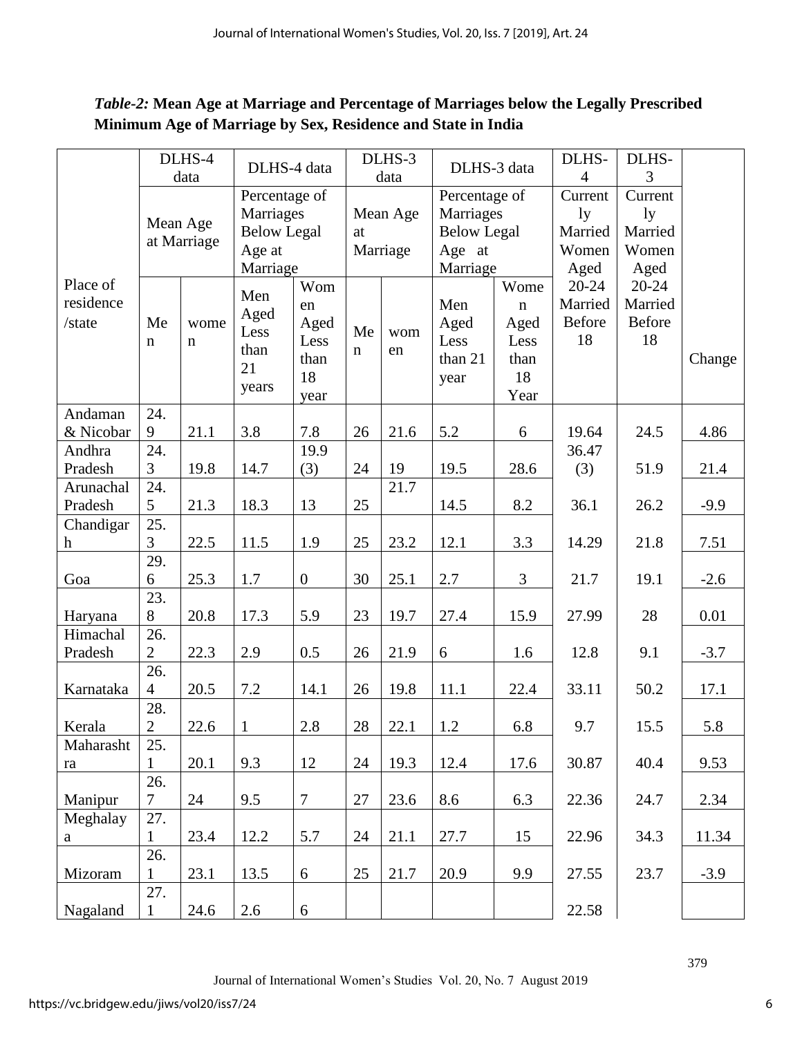# *Table-2:* **Mean Age at Marriage and Percentage of Marriages below the Legally Prescribed Minimum Age of Marriage by Sex, Residence and State in India**

|             |                       | DLHS-4      | DLHS-4 data        |                  |             | DLHS-3   | DLHS-3 data        |             | DLHS-          | DLHS-          |        |
|-------------|-----------------------|-------------|--------------------|------------------|-------------|----------|--------------------|-------------|----------------|----------------|--------|
|             |                       | data        |                    |                  |             | data     |                    |             | $\overline{4}$ | $\overline{3}$ |        |
|             |                       |             | Percentage of      |                  |             |          | Percentage of      |             | Current        | Current        |        |
|             |                       | Mean Age    | Marriages          |                  |             | Mean Age | Marriages          |             | 1y             | 1y             |        |
|             |                       | at Marriage | <b>Below Legal</b> |                  | at          |          | <b>Below Legal</b> |             | Married        | Married        |        |
|             |                       |             | Age at             |                  |             | Marriage | Age at             |             | Women          | Women          |        |
|             |                       |             | Marriage           |                  |             |          | Marriage           |             | Aged           | Aged           |        |
| Place of    |                       |             | Men                | Wom              |             |          |                    | Wome        | $20 - 24$      | $20 - 24$      |        |
| residence   |                       |             | Aged               | en               |             |          | Men                | $\mathbf n$ | Married        | Married        |        |
| /state      | Me                    | wome        | Less               | Aged             | Me          | wom      | Aged               | Aged        | Before         | <b>Before</b>  |        |
|             | n                     | $\mathbf n$ | than               | Less             | $\mathbf n$ | en       | Less               | Less        | 18             | 18             |        |
|             |                       |             | 21                 | than             |             |          | than 21            | than        |                |                | Change |
|             |                       |             |                    | 18               |             |          | year               | 18          |                |                |        |
|             |                       |             | years              | year             |             |          |                    | Year        |                |                |        |
| Andaman     | 24.                   |             |                    |                  |             |          |                    |             |                |                |        |
| & Nicobar   | 9                     | 21.1        | 3.8                | 7.8              | 26          | 21.6     | 5.2                | 6           | 19.64          | 24.5           | 4.86   |
| Andhra      | 24.                   |             |                    | 19.9             |             |          |                    |             | 36.47          |                |        |
| Pradesh     | 3                     | 19.8        | 14.7               | (3)              | 24          | 19       | 19.5               | 28.6        | (3)            | 51.9           | 21.4   |
| Arunachal   | 24.                   |             |                    |                  |             | 21.7     |                    |             |                |                |        |
| Pradesh     | 5                     | 21.3        | 18.3               | 13               | 25          |          | 14.5               | 8.2         | 36.1           | 26.2           | $-9.9$ |
| Chandigar   | 25.                   |             |                    |                  |             |          |                    |             |                |                |        |
| $\mathbf h$ | 3                     | 22.5        | 11.5               | 1.9              | 25          | 23.2     | 12.1               | 3.3         | 14.29          | 21.8           | 7.51   |
|             | 29.                   |             |                    |                  |             |          |                    |             |                |                |        |
| Goa         | 6                     | 25.3        | 1.7                | $\boldsymbol{0}$ | 30          | 25.1     | $2.7\,$            | 3           | 21.7           | 19.1           | $-2.6$ |
|             | 23.                   |             |                    |                  |             |          |                    |             |                |                |        |
| Haryana     | 8                     | 20.8        | 17.3               | 5.9              | 23          | 19.7     | 27.4               | 15.9        | 27.99          | 28             | 0.01   |
| Himachal    | 26.                   |             |                    |                  |             |          |                    |             |                |                |        |
| Pradesh     | $\overline{2}$        | 22.3        | 2.9                | 0.5              | 26          | 21.9     | 6                  | 1.6         | 12.8           | 9.1            | $-3.7$ |
|             | 26.                   |             |                    |                  |             |          |                    |             |                |                |        |
|             | $\overline{4}$        | 20.5        | 7.2                | 14.1             | 26          | 19.8     |                    |             | 33.11          | 50.2           |        |
| Karnataka   |                       |             |                    |                  |             |          | 11.1               | 22.4        |                |                | 17.1   |
| Kerala      | 28.<br>$\overline{2}$ | 22.6        | $\mathbf{1}$       | 2.8              | 28          | 22.1     | 1.2                | 6.8         | 9.7            | 15.5           | 5.8    |
| Maharasht   | 25.                   |             |                    |                  |             |          |                    |             |                |                |        |
| ra          | 1                     | 20.1        | 9.3                | 12               | 24          | 19.3     | 12.4               | 17.6        | 30.87          | 40.4           | 9.53   |
|             | 26.                   |             |                    |                  |             |          |                    |             |                |                |        |
| Manipur     | $\overline{7}$        | 24          | 9.5                | $\boldsymbol{7}$ | $27\,$      | 23.6     | 8.6                | 6.3         | 22.36          | 24.7           | 2.34   |
| Meghalay    | 27.                   |             |                    |                  |             |          |                    |             |                |                |        |
| a           | $\mathbf{1}$          | 23.4        | 12.2               | 5.7              | 24          | 21.1     | 27.7               | 15          | 22.96          | 34.3           | 11.34  |
|             | 26.                   |             |                    |                  |             |          |                    |             |                |                |        |
| Mizoram     | 1                     | 23.1        | 13.5               | $\boldsymbol{6}$ | 25          | 21.7     | 20.9               | 9.9         | 27.55          | 23.7           | $-3.9$ |
|             | 27.                   |             |                    |                  |             |          |                    |             |                |                |        |
| Nagaland    | $\mathbf{1}$          | 24.6        | 2.6                | 6                |             |          |                    |             | 22.58          |                |        |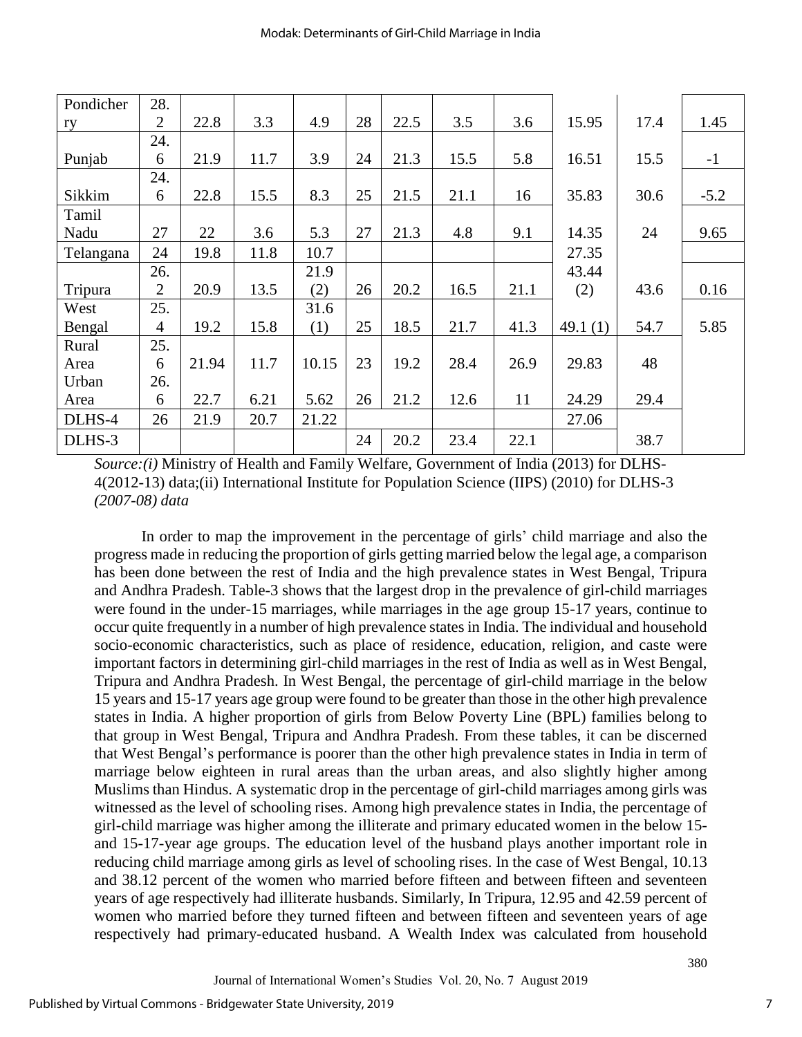| Pondicher | 28.            |       |      |       |    |      |      |      |            |      |        |
|-----------|----------------|-------|------|-------|----|------|------|------|------------|------|--------|
| ry        | $\overline{2}$ | 22.8  | 3.3  | 4.9   | 28 | 22.5 | 3.5  | 3.6  | 15.95      | 17.4 | 1.45   |
|           | 24.            |       |      |       |    |      |      |      |            |      |        |
| Punjab    | 6              | 21.9  | 11.7 | 3.9   | 24 | 21.3 | 15.5 | 5.8  | 16.51      | 15.5 | $-1$   |
|           | 24.            |       |      |       |    |      |      |      |            |      |        |
| Sikkim    | 6              | 22.8  | 15.5 | 8.3   | 25 | 21.5 | 21.1 | 16   | 35.83      | 30.6 | $-5.2$ |
| Tamil     |                |       |      |       |    |      |      |      |            |      |        |
| Nadu      | 27             | 22    | 3.6  | 5.3   | 27 | 21.3 | 4.8  | 9.1  | 14.35      | 24   | 9.65   |
| Telangana | 24             | 19.8  | 11.8 | 10.7  |    |      |      |      | 27.35      |      |        |
|           | 26.            |       |      | 21.9  |    |      |      |      | 43.44      |      |        |
| Tripura   | $\overline{2}$ | 20.9  | 13.5 | (2)   | 26 | 20.2 | 16.5 | 21.1 | (2)        | 43.6 | 0.16   |
| West      | 25.            |       |      | 31.6  |    |      |      |      |            |      |        |
| Bengal    | 4              | 19.2  | 15.8 | (1)   | 25 | 18.5 | 21.7 | 41.3 | 49.1 $(1)$ | 54.7 | 5.85   |
| Rural     | 25.            |       |      |       |    |      |      |      |            |      |        |
| Area      | 6              | 21.94 | 11.7 | 10.15 | 23 | 19.2 | 28.4 | 26.9 | 29.83      | 48   |        |
| Urban     | 26.            |       |      |       |    |      |      |      |            |      |        |
| Area      | 6              | 22.7  | 6.21 | 5.62  | 26 | 21.2 | 12.6 | 11   | 24.29      | 29.4 |        |
| DLHS-4    | 26             | 21.9  | 20.7 | 21.22 |    |      |      |      | 27.06      |      |        |
| DLHS-3    |                |       |      |       | 24 | 20.2 | 23.4 | 22.1 |            | 38.7 |        |

*Source:(i)* Ministry of Health and Family Welfare, Government of India (2013) for DLHS-4(2012-13) data;(ii) International Institute for Population Science (IIPS) (2010) for DLHS-3 *(2007-08) data*

In order to map the improvement in the percentage of girls' child marriage and also the progress made in reducing the proportion of girls getting married below the legal age, a comparison has been done between the rest of India and the high prevalence states in West Bengal, Tripura and Andhra Pradesh. Table-3 shows that the largest drop in the prevalence of girl-child marriages were found in the under-15 marriages, while marriages in the age group 15-17 years, continue to occur quite frequently in a number of high prevalence states in India. The individual and household socio-economic characteristics, such as place of residence, education, religion, and caste were important factors in determining girl-child marriages in the rest of India as well as in West Bengal, Tripura and Andhra Pradesh. In West Bengal, the percentage of girl-child marriage in the below 15 years and 15-17 years age group were found to be greater than those in the other high prevalence states in India. A higher proportion of girls from Below Poverty Line (BPL) families belong to that group in West Bengal, Tripura and Andhra Pradesh. From these tables, it can be discerned that West Bengal's performance is poorer than the other high prevalence states in India in term of marriage below eighteen in rural areas than the urban areas, and also slightly higher among Muslims than Hindus. A systematic drop in the percentage of girl-child marriages among girls was witnessed as the level of schooling rises. Among high prevalence states in India, the percentage of girl-child marriage was higher among the illiterate and primary educated women in the below 15 and 15-17-year age groups. The education level of the husband plays another important role in reducing child marriage among girls as level of schooling rises. In the case of West Bengal, 10.13 and 38.12 percent of the women who married before fifteen and between fifteen and seventeen years of age respectively had illiterate husbands. Similarly, In Tripura, 12.95 and 42.59 percent of women who married before they turned fifteen and between fifteen and seventeen years of age respectively had primary-educated husband. A Wealth Index was calculated from household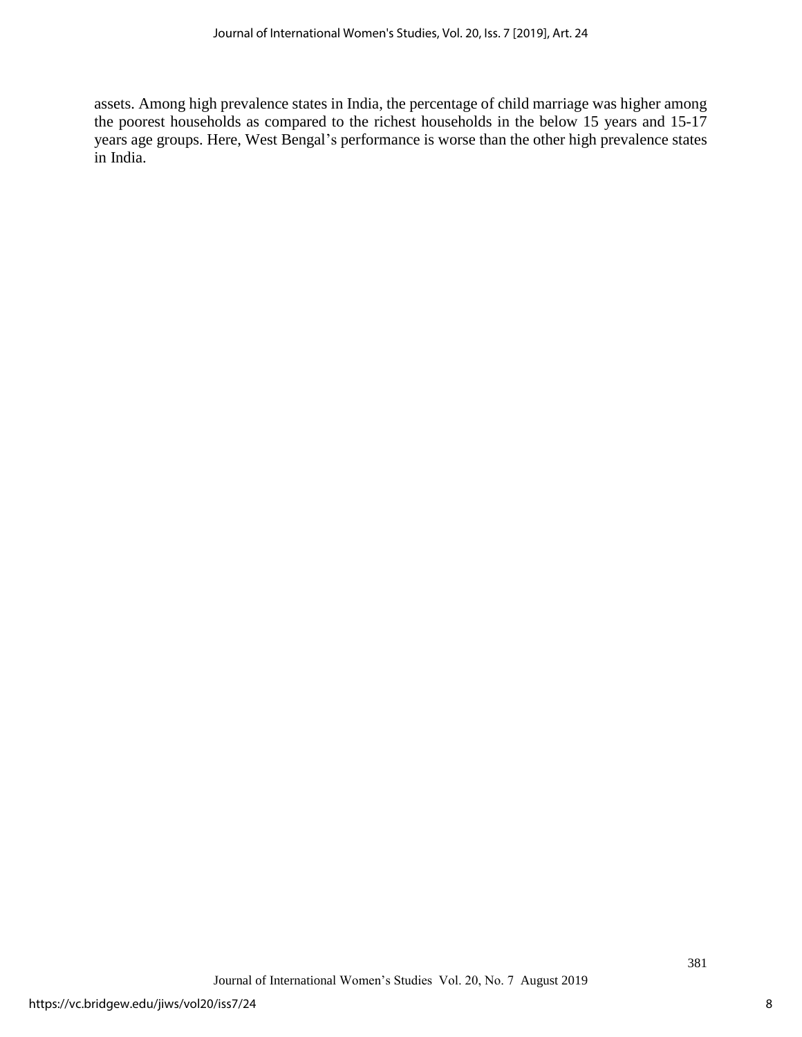assets. Among high prevalence states in India, the percentage of child marriage was higher among the poorest households as compared to the richest households in the below 15 years and 15-17 years age groups. Here, West Bengal's performance is worse than the other high prevalence states in India.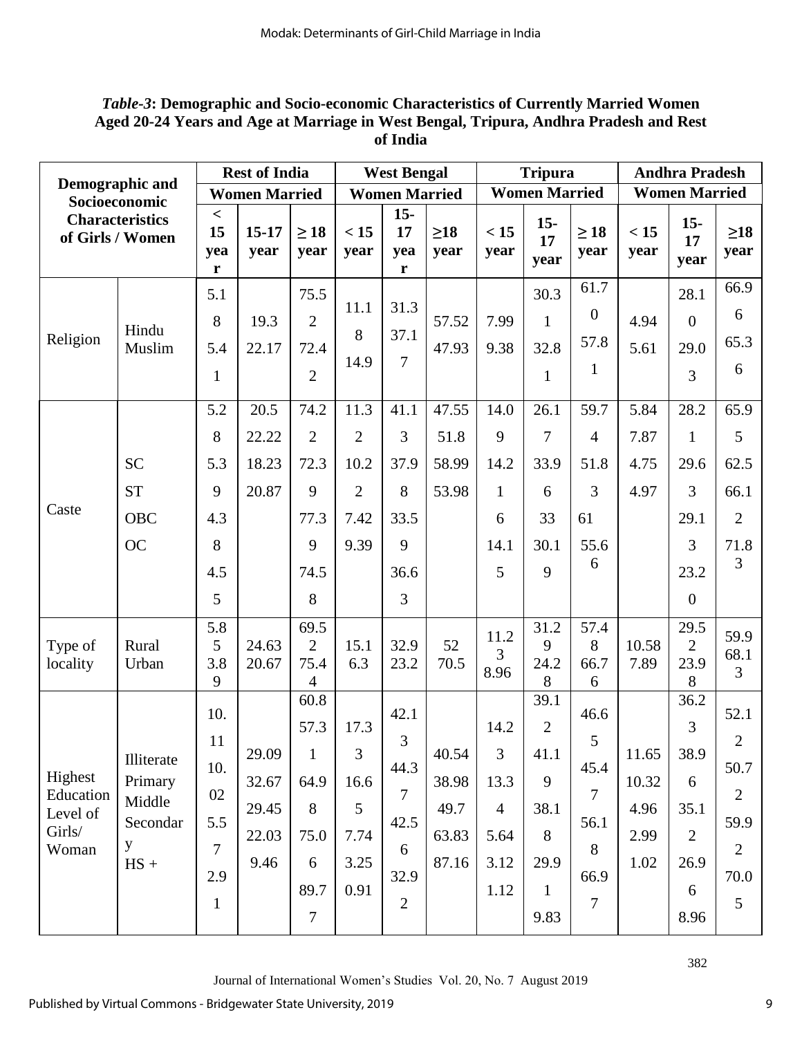# *Table-3***: Demographic and Socio-economic Characteristics of Currently Married Women Aged 20-24 Years and Age at Marriage in West Bengal, Tripura, Andhra Pradesh and Rest of India**

| Demographic and                                     |                                                            | <b>Rest of India</b>                                                  |                                          |                                                                                        | <b>West Bengal</b>                             |                                                                            |                                          | <b>Tripura</b>                                                           |                                                                                  |                                                                            | <b>Andhra Pradesh</b>                  |                                                                       |                                                                                         |
|-----------------------------------------------------|------------------------------------------------------------|-----------------------------------------------------------------------|------------------------------------------|----------------------------------------------------------------------------------------|------------------------------------------------|----------------------------------------------------------------------------|------------------------------------------|--------------------------------------------------------------------------|----------------------------------------------------------------------------------|----------------------------------------------------------------------------|----------------------------------------|-----------------------------------------------------------------------|-----------------------------------------------------------------------------------------|
|                                                     | Socioeconomic                                              |                                                                       | <b>Women Married</b>                     |                                                                                        |                                                | <b>Women Married</b>                                                       |                                          |                                                                          | <b>Women Married</b>                                                             |                                                                            |                                        | <b>Women Married</b>                                                  |                                                                                         |
|                                                     | <b>Characteristics</b><br>of Girls / Women                 | $\,<$<br>15<br>yea<br>r                                               | $15 - 17$<br>year                        | $\geq 18$<br>year                                                                      | < 15<br>year                                   | $15-$<br>17<br>yea<br>$\mathbf{r}$                                         | $\geq$ 18<br>year                        | < 15<br>year                                                             | $15-$<br>17<br>year                                                              | $\geq 18$<br>year                                                          | < 15<br>year                           | $15-$<br>17<br>year                                                   | $\geq18$<br>year                                                                        |
| Religion                                            | Hindu<br>Muslim                                            | 5.1<br>8<br>5.4<br>$\mathbf{1}$                                       | 19.3<br>22.17                            | 75.5<br>$\overline{2}$<br>72.4<br>$\overline{2}$                                       | 11.1<br>8<br>14.9                              | 31.3<br>37.1<br>$\overline{7}$                                             | 57.52<br>47.93                           | 7.99<br>9.38                                                             | 30.3<br>$\mathbf{1}$<br>32.8<br>$\mathbf{1}$                                     | 61.7<br>$\boldsymbol{0}$<br>57.8<br>$\mathbf{1}$                           | 4.94<br>5.61                           | 28.1<br>$\overline{0}$<br>29.0<br>3                                   | 66.9<br>6<br>65.3<br>6                                                                  |
|                                                     |                                                            | 5.2<br>8                                                              | 20.5<br>22.22                            | 74.2<br>$\overline{2}$                                                                 | 11.3<br>$\overline{2}$                         | 41.1<br>$\overline{3}$                                                     | 47.55<br>51.8                            | 14.0<br>9                                                                | 26.1<br>7                                                                        | 59.7<br>$\overline{4}$                                                     | 5.84<br>7.87                           | 28.2<br>$\mathbf{1}$                                                  | 65.9<br>5                                                                               |
| Caste                                               | <b>SC</b><br><b>ST</b><br><b>OBC</b>                       | 5.3<br>9<br>4.3                                                       | 18.23<br>20.87                           | 72.3<br>9<br>77.3                                                                      | 10.2<br>$\overline{2}$<br>7.42                 | 37.9<br>8<br>33.5                                                          | 58.99<br>53.98                           | 14.2<br>$\mathbf{1}$<br>6                                                | 33.9<br>6<br>33                                                                  | 51.8<br>3<br>61                                                            | 4.75<br>4.97                           | 29.6<br>3<br>29.1                                                     | 62.5<br>66.1<br>$\overline{2}$                                                          |
|                                                     | <b>OC</b>                                                  | 8<br>4.5<br>5                                                         |                                          | 9<br>74.5<br>8                                                                         | 9.39                                           | 9<br>36.6<br>3                                                             |                                          | 14.1<br>5                                                                | 30.1<br>9                                                                        | 55.6<br>6                                                                  |                                        | 3<br>23.2<br>$\overline{0}$                                           | 71.8<br>3                                                                               |
| Type of<br>locality                                 | Rural<br>Urban                                             | 5.8<br>5<br>3.8<br>9                                                  | 24.63<br>20.67                           | 69.5<br>$\overline{2}$<br>75.4<br>4                                                    | 15.1<br>6.3                                    | 32.9<br>23.2                                                               | 52<br>70.5                               | 11.2<br>3<br>8.96                                                        | 31.2<br>9<br>24.2<br>8                                                           | 57.4<br>8<br>66.7<br>6                                                     | 10.58<br>7.89                          | 29.5<br>$\overline{2}$<br>23.9<br>8                                   | 59.9<br>68.1<br>3                                                                       |
| Highest<br>Education<br>Level of<br>Girls/<br>Woman | Illiterate<br>Primary<br>Middle<br>Secondar<br>y<br>$HS +$ | 10.<br>11<br>10.<br>02<br>5.5<br>$\overline{7}$<br>2.9<br>$\mathbf 1$ | 29.09<br>32.67<br>29.45<br>22.03<br>9.46 | 60.8<br>57.3<br>$\mathbf{1}$<br>64.9<br>$8\,$<br>75.0<br>6<br>89.7<br>$\boldsymbol{7}$ | 17.3<br>3<br>16.6<br>5<br>7.74<br>3.25<br>0.91 | 42.1<br>3<br>44.3<br>$\overline{7}$<br>42.5<br>6<br>32.9<br>$\overline{2}$ | 40.54<br>38.98<br>49.7<br>63.83<br>87.16 | 14.2<br>$\overline{3}$<br>13.3<br>$\overline{4}$<br>5.64<br>3.12<br>1.12 | 39.1<br>$\overline{2}$<br>41.1<br>9<br>38.1<br>8<br>29.9<br>$\mathbf{1}$<br>9.83 | 46.6<br>5<br>45.4<br>$\overline{7}$<br>56.1<br>8<br>66.9<br>$\overline{7}$ | 11.65<br>10.32<br>4.96<br>2.99<br>1.02 | 36.2<br>3<br>38.9<br>6<br>35.1<br>$\overline{2}$<br>26.9<br>6<br>8.96 | 52.1<br>$\overline{2}$<br>50.7<br>$\overline{2}$<br>59.9<br>$\overline{2}$<br>70.0<br>5 |

382

Journal of International Women's Studies Vol. 20, No. 7 August 2019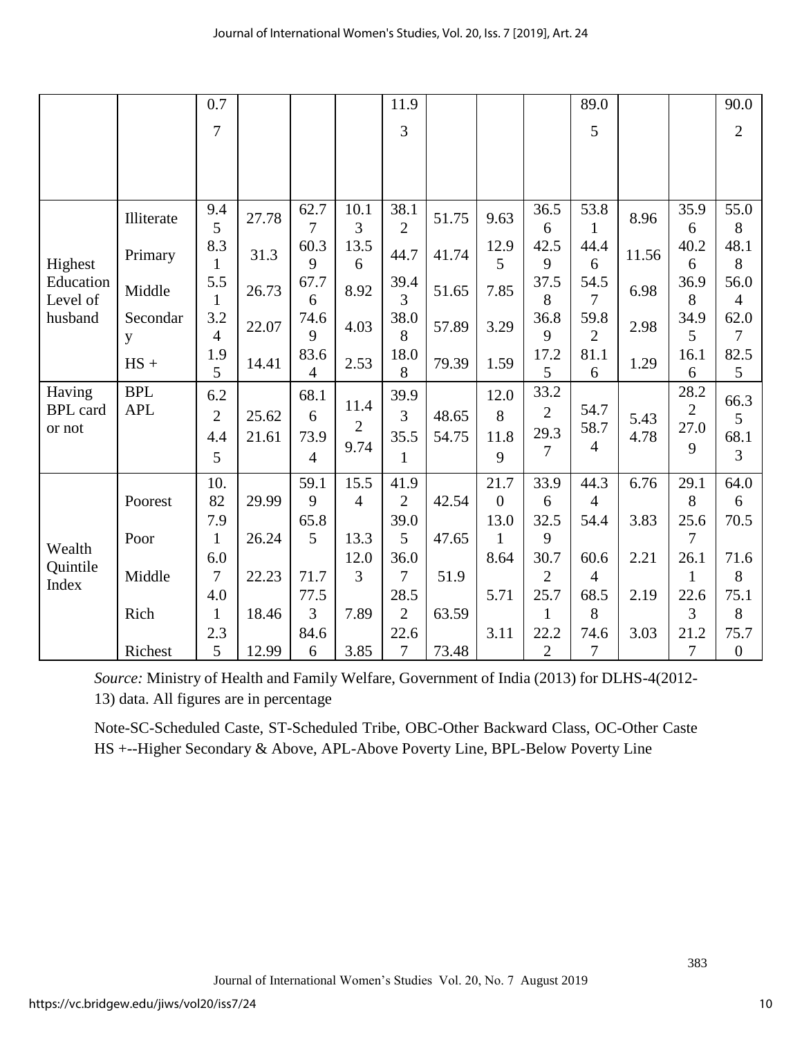|                           |               | 0.7                   |       |                |                | 11.9                   |       |                |                        | 89.0                   |       |                        | 90.0             |
|---------------------------|---------------|-----------------------|-------|----------------|----------------|------------------------|-------|----------------|------------------------|------------------------|-------|------------------------|------------------|
|                           |               | $\overline{7}$        |       |                |                | 3                      |       |                |                        | 5                      |       |                        | $\overline{2}$   |
|                           |               |                       |       |                |                |                        |       |                |                        |                        |       |                        |                  |
|                           |               |                       |       |                |                |                        |       |                |                        |                        |       |                        |                  |
|                           |               |                       |       |                |                |                        |       |                |                        |                        |       |                        |                  |
|                           | Illiterate    | 9.4<br>5              | 27.78 | 62.7<br>7      | 10.1<br>3      | 38.1<br>$\overline{2}$ | 51.75 | 9.63           | 36.5<br>6              | 53.8<br>$\mathbf{1}$   | 8.96  | 35.9<br>6              | 55.0<br>8        |
|                           |               | 8.3                   |       | 60.3           | 13.5           |                        |       | 12.9           | 42.5                   | 44.4                   |       | 40.2                   | 48.1             |
| Highest                   | Primary       | 1                     | 31.3  | 9              | 6              | 44.7                   | 41.74 | 5              | 9                      | 6                      | 11.56 | 6                      | 8                |
| Education                 | Middle        | 5.5                   | 26.73 | 67.7           | 8.92           | 39.4                   | 51.65 | 7.85           | 37.5                   | 54.5                   | 6.98  | 36.9                   | 56.0             |
| Level of                  |               | 1<br>3.2              |       | 6              |                | 3                      |       |                | 8<br>36.8              | 7                      |       | 8<br>34.9              | 4                |
| husband                   | Secondar<br>y | $\overline{4}$        | 22.07 | 74.6<br>9      | 4.03           | 38.0<br>8              | 57.89 | 3.29           | 9                      | 59.8<br>$\overline{2}$ | 2.98  | 5                      | 62.0<br>7        |
|                           |               | 1.9                   |       | 83.6           | 2.53           | 18.0                   | 79.39 |                | 17.2                   | 81.1                   |       | 16.1                   | 82.5             |
|                           | $HS +$        | 5                     | 14.41 | $\overline{4}$ |                | 8                      |       | 1.59           | 5                      | 6                      | 1.29  | 6                      | 5                |
| Having                    | <b>BPL</b>    | 6.2                   |       | 68.1           | 11.4           | 39.9                   |       | 12.0           | 33.2                   |                        |       | 28.2                   | 66.3             |
| <b>BPL</b> card<br>or not | <b>APL</b>    | $\mathfrak{2}$        | 25.62 | 6              | $\overline{2}$ | 3                      | 48.65 | 8              | $\overline{2}$         | 54.7<br>58.7           | 5.43  | $\overline{2}$<br>27.0 | 5                |
|                           |               | 4.4                   | 21.61 | 73.9           | 9.74           | 35.5                   | 54.75 | 11.8           | 29.3                   | $\overline{4}$         | 4.78  | 9                      | 68.1             |
|                           |               | 5                     |       | $\overline{4}$ |                | $\mathbf{1}$           |       | 9              | 7                      |                        |       |                        | 3                |
|                           |               | 10.                   |       | 59.1           | 15.5           | 41.9                   |       | 21.7           | 33.9                   | 44.3                   | 6.76  | 29.1                   | 64.0             |
|                           | Poorest       | 82                    | 29.99 | 9              | $\overline{4}$ | $\overline{2}$         | 42.54 | $\overline{0}$ | 6                      | $\overline{4}$         |       | 8                      | 6                |
|                           |               | 7.9                   |       | 65.8           |                | 39.0                   |       | 13.0           | 32.5                   | 54.4                   | 3.83  | 25.6                   | 70.5             |
| Wealth                    | Poor          | 1                     | 26.24 | 5              | 13.3           | 5                      | 47.65 | $\mathbf{1}$   | 9                      |                        |       | 7                      |                  |
| Quintile                  | Middle        | 6.0<br>$\overline{7}$ | 22.23 | 71.7           | 12.0<br>3      | 36.0<br>7              | 51.9  | 8.64           | 30.7<br>$\overline{2}$ | 60.6<br>4              | 2.21  | 26.1<br>1              | 71.6<br>8        |
| Index                     |               | 4.0                   |       | 77.5           |                | 28.5                   |       | 5.71           | 25.7                   | 68.5                   | 2.19  | 22.6                   | 75.1             |
|                           | Rich          | 1                     | 18.46 | 3              | 7.89           | $\overline{2}$         | 63.59 |                | 1                      | 8                      |       | 3                      | 8                |
|                           |               | 2.3                   |       | 84.6           |                | 22.6                   |       | 3.11           | 22.2                   | 74.6                   | 3.03  | 21.2                   | 75.7             |
|                           | Richest       | 5                     | 12.99 | 6              | 3.85           | 7                      | 73.48 |                | $\overline{2}$         | 7                      |       | 7                      | $\boldsymbol{0}$ |

*Source:* Ministry of Health and Family Welfare, Government of India (2013) for DLHS-4(2012- 13) data. All figures are in percentage

Note-SC-Scheduled Caste, ST-Scheduled Tribe, OBC-Other Backward Class, OC-Other Caste HS +--Higher Secondary & Above, APL-Above Poverty Line, BPL-Below Poverty Line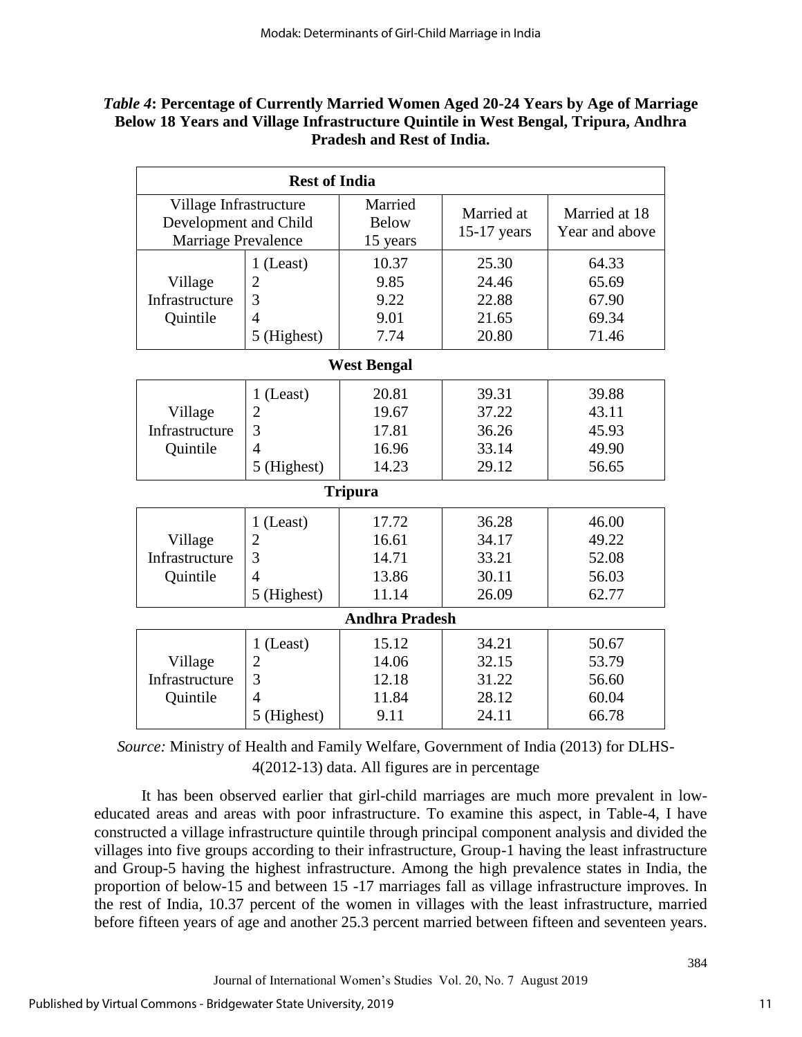## *Table 4***: Percentage of Currently Married Women Aged 20-24 Years by Age of Marriage Below 18 Years and Village Infrastructure Quintile in West Bengal, Tripura, Andhra Pradesh and Rest of India.**

|                                                                        | <b>Rest of India</b>                                                                                    |                                                                                        |                                                                      |                                                                      |
|------------------------------------------------------------------------|---------------------------------------------------------------------------------------------------------|----------------------------------------------------------------------------------------|----------------------------------------------------------------------|----------------------------------------------------------------------|
| Village Infrastructure<br>Development and Child<br>Marriage Prevalence |                                                                                                         | Married<br><b>Below</b><br>15 years                                                    | Married at<br>$15-17$ years                                          | Married at 18<br>Year and above                                      |
| Village<br>Infrastructure<br>Quintile                                  | 1 (Least)<br>$\overline{2}$<br>3<br>$\overline{4}$<br>5 (Highest)                                       | 10.37<br>9.85<br>9.22<br>9.01<br>7.74                                                  | 25.30<br>24.46<br>22.88<br>21.65<br>20.80                            | 64.33<br>65.69<br>67.90<br>69.34<br>71.46                            |
|                                                                        |                                                                                                         | <b>West Bengal</b>                                                                     |                                                                      |                                                                      |
| Village<br>Infrastructure<br>Quintile<br>Village<br>Infrastructure     | $1$ (Least)<br>$\overline{2}$<br>3<br>$\overline{4}$<br>5 (Highest)<br>1 (Least)<br>$\overline{2}$<br>3 | 20.81<br>19.67<br>17.81<br>16.96<br>14.23<br><b>Tripura</b><br>17.72<br>16.61<br>14.71 | 39.31<br>37.22<br>36.26<br>33.14<br>29.12<br>36.28<br>34.17<br>33.21 | 39.88<br>43.11<br>45.93<br>49.90<br>56.65<br>46.00<br>49.22<br>52.08 |
| Quintile                                                               | $\overline{4}$<br>5 (Highest)                                                                           | 13.86<br>11.14                                                                         | 30.11<br>26.09                                                       | 56.03<br>62.77                                                       |
|                                                                        |                                                                                                         | <b>Andhra Pradesh</b>                                                                  |                                                                      |                                                                      |
| Village<br>Infrastructure<br>Quintile                                  | 1 (Least)<br>$\overline{2}$<br>3<br>$\overline{4}$<br>5 (Highest)                                       | 15.12<br>14.06<br>12.18<br>11.84<br>9.11                                               | 34.21<br>32.15<br>31.22<br>28.12<br>24.11                            | 50.67<br>53.79<br>56.60<br>60.04<br>66.78                            |

*Source:* Ministry of Health and Family Welfare, Government of India (2013) for DLHS-4(2012-13) data. All figures are in percentage

It has been observed earlier that girl-child marriages are much more prevalent in loweducated areas and areas with poor infrastructure. To examine this aspect, in Table-4, I have constructed a village infrastructure quintile through principal component analysis and divided the villages into five groups according to their infrastructure, Group-1 having the least infrastructure and Group-5 having the highest infrastructure. Among the high prevalence states in India, the proportion of below-15 and between 15 -17 marriages fall as village infrastructure improves. In the rest of India, 10.37 percent of the women in villages with the least infrastructure, married before fifteen years of age and another 25.3 percent married between fifteen and seventeen years.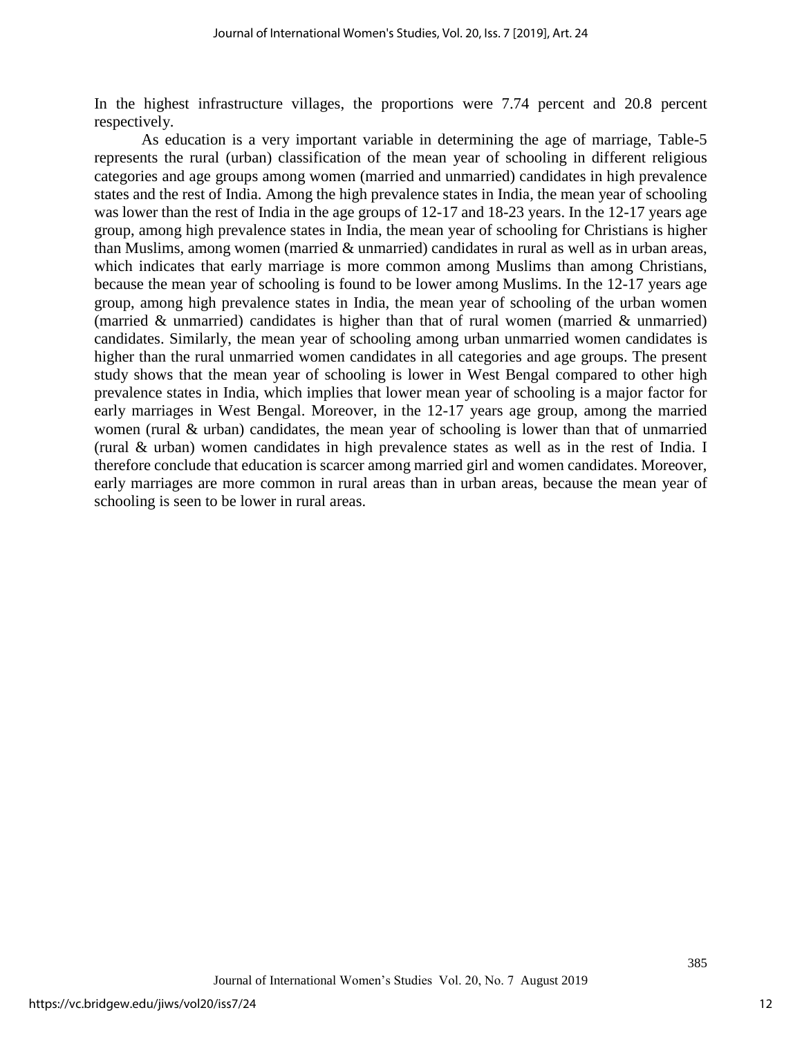In the highest infrastructure villages, the proportions were 7.74 percent and 20.8 percent respectively.

As education is a very important variable in determining the age of marriage, Table-5 represents the rural (urban) classification of the mean year of schooling in different religious categories and age groups among women (married and unmarried) candidates in high prevalence states and the rest of India. Among the high prevalence states in India, the mean year of schooling was lower than the rest of India in the age groups of 12-17 and 18-23 years. In the 12-17 years age group, among high prevalence states in India, the mean year of schooling for Christians is higher than Muslims, among women (married & unmarried) candidates in rural as well as in urban areas, which indicates that early marriage is more common among Muslims than among Christians, because the mean year of schooling is found to be lower among Muslims. In the 12-17 years age group, among high prevalence states in India, the mean year of schooling of the urban women (married & unmarried) candidates is higher than that of rural women (married & unmarried) candidates. Similarly, the mean year of schooling among urban unmarried women candidates is higher than the rural unmarried women candidates in all categories and age groups. The present study shows that the mean year of schooling is lower in West Bengal compared to other high prevalence states in India, which implies that lower mean year of schooling is a major factor for early marriages in West Bengal. Moreover, in the 12-17 years age group, among the married women (rural & urban) candidates, the mean year of schooling is lower than that of unmarried (rural & urban) women candidates in high prevalence states as well as in the rest of India. I therefore conclude that education is scarcer among married girl and women candidates. Moreover, early marriages are more common in rural areas than in urban areas, because the mean year of schooling is seen to be lower in rural areas.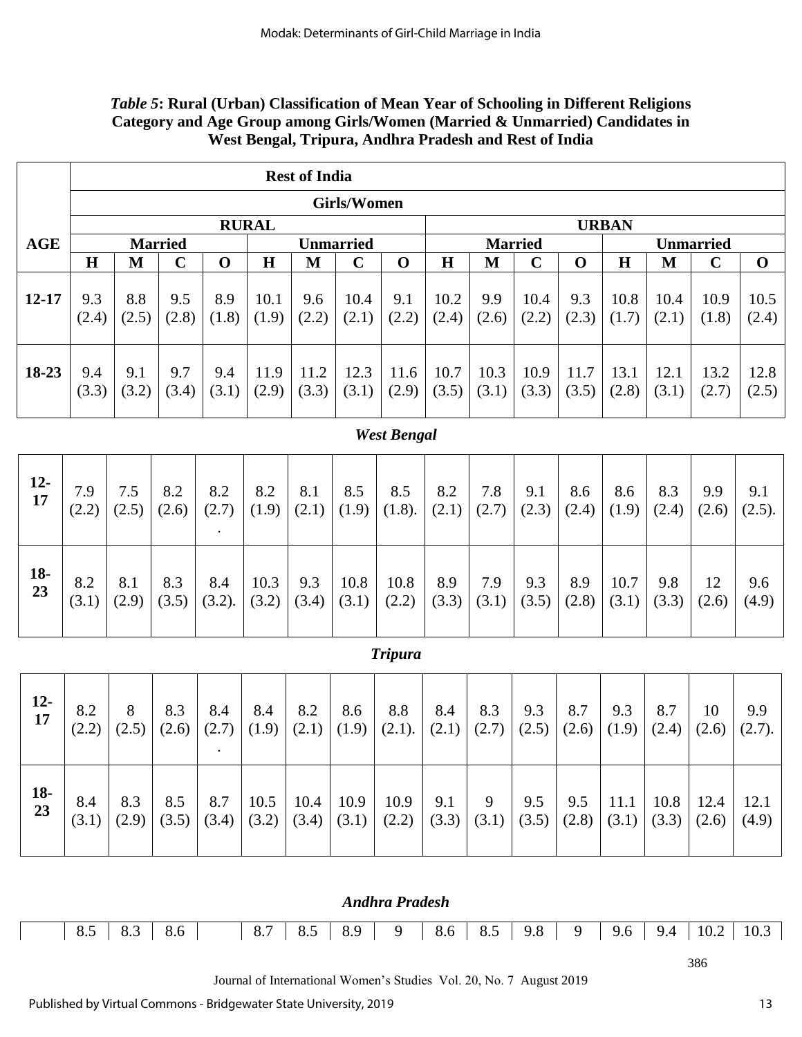# *Table 5***: Rural (Urban) Classification of Mean Year of Schooling in Different Religions Category and Age Group among Girls/Women (Married & Unmarried) Candidates in West Bengal, Tripura, Andhra Pradesh and Rest of India**

|             |                    |              |                |               |               | <b>Rest of India</b> |                    |                       |               |               |                |               |               |               |                  |               |
|-------------|--------------------|--------------|----------------|---------------|---------------|----------------------|--------------------|-----------------------|---------------|---------------|----------------|---------------|---------------|---------------|------------------|---------------|
|             |                    |              |                |               |               |                      | <b>Girls/Women</b> |                       |               |               |                |               |               |               |                  |               |
|             |                    |              |                |               | <b>RURAL</b>  |                      |                    |                       |               |               |                |               | <b>URBAN</b>  |               |                  |               |
| <b>AGE</b>  |                    |              | <b>Married</b> |               |               |                      | <b>Unmarried</b>   |                       |               |               | <b>Married</b> |               |               |               | <b>Unmarried</b> |               |
|             | H                  | $\mathbf{M}$ | $\mathbf C$    | $\mathbf 0$   | H             | M                    | $\mathbf C$        | $\mathbf 0$           | H             | M             | $\mathbf C$    | $\mathbf 0$   | H             | $\mathbf{M}$  | $\mathbf C$      | $\mathbf 0$   |
| $12 - 17$   | 9.3<br>(2.4)       | 8.8<br>(2.5) | 9.5<br>(2.8)   | 8.9<br>(1.8)  | 10.1<br>(1.9) | 9.6<br>(2.2)         | 10.4<br>(2.1)      | 9.1<br>(2.2)          | 10.2<br>(2.4) | 9.9<br>(2.6)  | 10.4<br>(2.2)  | 9.3<br>(2.3)  | 10.8<br>(1.7) | 10.4<br>(2.1) | 10.9<br>(1.8)    | 10.5<br>(2.4) |
| 18-23       | 9.4<br>(3.3)       | 9.1<br>(3.2) | 9.7<br>(3.4)   | 9.4<br>(3.1)  | 11.9<br>(2.9) | 11.2<br>(3.3)        | 12.3<br>(3.1)      | 11.6<br>(2.9)         | 10.7<br>(3.5) | 10.3<br>(3.1) | 10.9<br>(3.3)  | 11.7<br>(3.5) | 13.1<br>(2.8) | 12.1<br>(3.1) | 13.2<br>(2.7)    | 12.8<br>(2.5) |
|             | <b>West Bengal</b> |              |                |               |               |                      |                    |                       |               |               |                |               |               |               |                  |               |
| $12-$<br>17 | 7.9<br>(2.2)       | 7.5<br>(2.5) | 8.2<br>(2.6)   | 8.2<br>(2.7)  | 8.2<br>(1.9)  | 8.1<br>(2.1)         | 8.5<br>(1.9)       | 8.5<br>(1.8).         | 8.2<br>(2.1)  | 7.8<br>(2.7)  | 9.1<br>(2.3)   | 8.6<br>(2.4)  | 8.6<br>(1.9)  | 8.3<br>(2.4)  | 9.9<br>(2.6)     | 9.1<br>(2.5). |
| $18-$<br>23 | 8.2<br>(3.1)       | 8.1<br>(2.9) | 8.3<br>(3.5)   | 8.4<br>(3.2). | 10.3<br>(3.2) | 9.3<br>(3.4)         | 10.8<br>(3.1)      | 10.8<br>(2.2)         | 8.9<br>(3.3)  | 7.9<br>(3.1)  | 9.3<br>(3.5)   | 8.9<br>(2.8)  | 10.7<br>(3.1) | 9.8<br>(3.3)  | 12<br>(2.6)      | 9.6<br>(4.9)  |
|             |                    |              |                |               |               |                      |                    | <b>Tripura</b>        |               |               |                |               |               |               |                  |               |
| $12-$<br>17 | 8.2<br>(2.2)       | 8<br>(2.5)   | 8.3<br>(2.6)   | 8.4<br>(2.7)  | 8.4<br>(1.9)  | 8.2<br>(2.1)         | 8.6<br>(1.9)       | 8.8<br>(2.1).         | 8.4<br>(2.1)  | 8.3<br>(2.7)  | 9.3<br>(2.5)   | 8.7<br>(2.6)  | 9.3<br>(1.9)  | 8.7<br>(2.4)  | 10<br>(2.6)      | 9.9<br>(2.7). |
| $18-$<br>23 | 8.4<br>(3.1)       | 8.3<br>(2.9) | 8.5<br>(3.5)   | 8.7<br>(3.4)  | 10.5<br>(3.2) | 10.4<br>(3.4)        | 10.9<br>(3.1)      | 10.9<br>(2.2)         | 9.1<br>(3.3)  | 9<br>(3.1)    | 9.5<br>(3.5)   | 9.5<br>(2.8)  | 11.1<br>(3.1) | 10.8<br>(3.3) | 12.4<br>(2.6)    | 12.1<br>(4.9) |
|             |                    |              |                |               |               |                      |                    | <b>Andhra Pradesh</b> |               |               |                |               |               |               |                  |               |

386

Journal of International Women's Studies Vol. 20, No. 7 August 2019

 $\Gamma$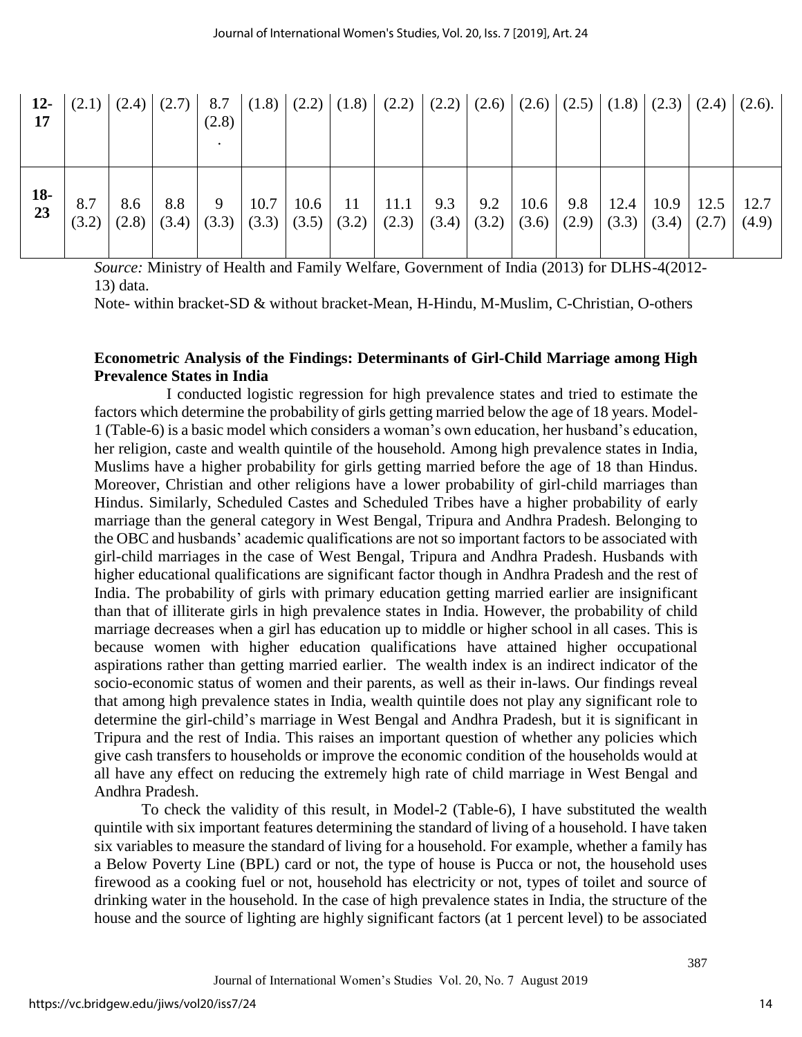| $12-$<br>17 |              |     | $(2.1)$ $(2.4)$ $(2.7)$ | 8.7<br>(2.8) |               | $ (1.8)   (2.2)   (1.8)   (2.2)   (2.2)   (2.6)   (2.6)   (2.5)   (1.8)   (2.3)   (2.4)   (2.6).$                 |     |              |  |                                       |               |
|-------------|--------------|-----|-------------------------|--------------|---------------|-------------------------------------------------------------------------------------------------------------------|-----|--------------|--|---------------------------------------|---------------|
| 18-<br>23   | 8.7<br>(3.2) | 8.6 | 8.8<br>$(2.8)$ $(3.4)$  | 9            | $10.7$   10.6 | $11 \mid 11.1 \mid$<br>$ (3.3)   (3.3)   (3.5)   (3.2)   (2.3)   (3.4)   (3.2)   (3.6)   (2.9)   (3.3)   (3.4)  $ | 9.3 | $9.2$   10.6 |  | $9.8$   12.4   10.9   12.5  <br>(2.7) | 12.7<br>(4.9) |

*Source:* Ministry of Health and Family Welfare, Government of India (2013) for DLHS-4(2012- 13) data.

Note- within bracket-SD & without bracket-Mean, H-Hindu, M-Muslim, C-Christian, O-others

## **Econometric Analysis of the Findings: Determinants of Girl-Child Marriage among High Prevalence States in India**

I conducted logistic regression for high prevalence states and tried to estimate the factors which determine the probability of girls getting married below the age of 18 years. Model-1 (Table-6) is a basic model which considers a woman's own education, her husband's education, her religion, caste and wealth quintile of the household. Among high prevalence states in India, Muslims have a higher probability for girls getting married before the age of 18 than Hindus. Moreover, Christian and other religions have a lower probability of girl-child marriages than Hindus. Similarly, Scheduled Castes and Scheduled Tribes have a higher probability of early marriage than the general category in West Bengal, Tripura and Andhra Pradesh. Belonging to the OBC and husbands' academic qualifications are not so important factors to be associated with girl-child marriages in the case of West Bengal, Tripura and Andhra Pradesh. Husbands with higher educational qualifications are significant factor though in Andhra Pradesh and the rest of India. The probability of girls with primary education getting married earlier are insignificant than that of illiterate girls in high prevalence states in India. However, the probability of child marriage decreases when a girl has education up to middle or higher school in all cases. This is because women with higher education qualifications have attained higher occupational aspirations rather than getting married earlier. The wealth index is an indirect indicator of the socio-economic status of women and their parents, as well as their in-laws. Our findings reveal that among high prevalence states in India, wealth quintile does not play any significant role to determine the girl-child's marriage in West Bengal and Andhra Pradesh, but it is significant in Tripura and the rest of India. This raises an important question of whether any policies which give cash transfers to households or improve the economic condition of the households would at all have any effect on reducing the extremely high rate of child marriage in West Bengal and Andhra Pradesh.

To check the validity of this result, in Model-2 (Table-6), I have substituted the wealth quintile with six important features determining the standard of living of a household. I have taken six variables to measure the standard of living for a household. For example, whether a family has a Below Poverty Line (BPL) card or not, the type of house is Pucca or not, the household uses firewood as a cooking fuel or not, household has electricity or not, types of toilet and source of drinking water in the household. In the case of high prevalence states in India, the structure of the house and the source of lighting are highly significant factors (at 1 percent level) to be associated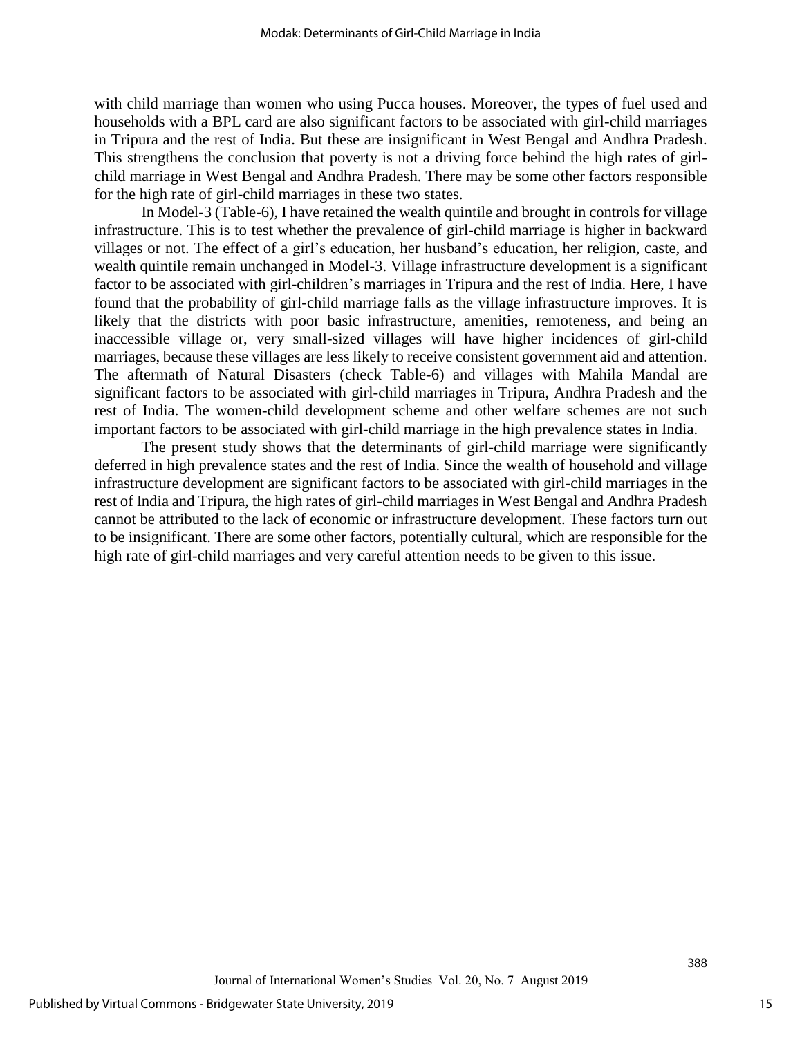with child marriage than women who using Pucca houses. Moreover, the types of fuel used and households with a BPL card are also significant factors to be associated with girl-child marriages in Tripura and the rest of India. But these are insignificant in West Bengal and Andhra Pradesh. This strengthens the conclusion that poverty is not a driving force behind the high rates of girlchild marriage in West Bengal and Andhra Pradesh. There may be some other factors responsible for the high rate of girl-child marriages in these two states.

In Model-3 (Table-6), I have retained the wealth quintile and brought in controls for village infrastructure. This is to test whether the prevalence of girl-child marriage is higher in backward villages or not. The effect of a girl's education, her husband's education, her religion, caste, and wealth quintile remain unchanged in Model-3. Village infrastructure development is a significant factor to be associated with girl-children's marriages in Tripura and the rest of India. Here, I have found that the probability of girl-child marriage falls as the village infrastructure improves. It is likely that the districts with poor basic infrastructure, amenities, remoteness, and being an inaccessible village or, very small-sized villages will have higher incidences of girl-child marriages, because these villages are less likely to receive consistent government aid and attention. The aftermath of Natural Disasters (check Table-6) and villages with Mahila Mandal are significant factors to be associated with girl-child marriages in Tripura, Andhra Pradesh and the rest of India. The women-child development scheme and other welfare schemes are not such important factors to be associated with girl-child marriage in the high prevalence states in India.

The present study shows that the determinants of girl-child marriage were significantly deferred in high prevalence states and the rest of India. Since the wealth of household and village infrastructure development are significant factors to be associated with girl-child marriages in the rest of India and Tripura, the high rates of girl-child marriages in West Bengal and Andhra Pradesh cannot be attributed to the lack of economic or infrastructure development. These factors turn out to be insignificant. There are some other factors, potentially cultural, which are responsible for the high rate of girl-child marriages and very careful attention needs to be given to this issue.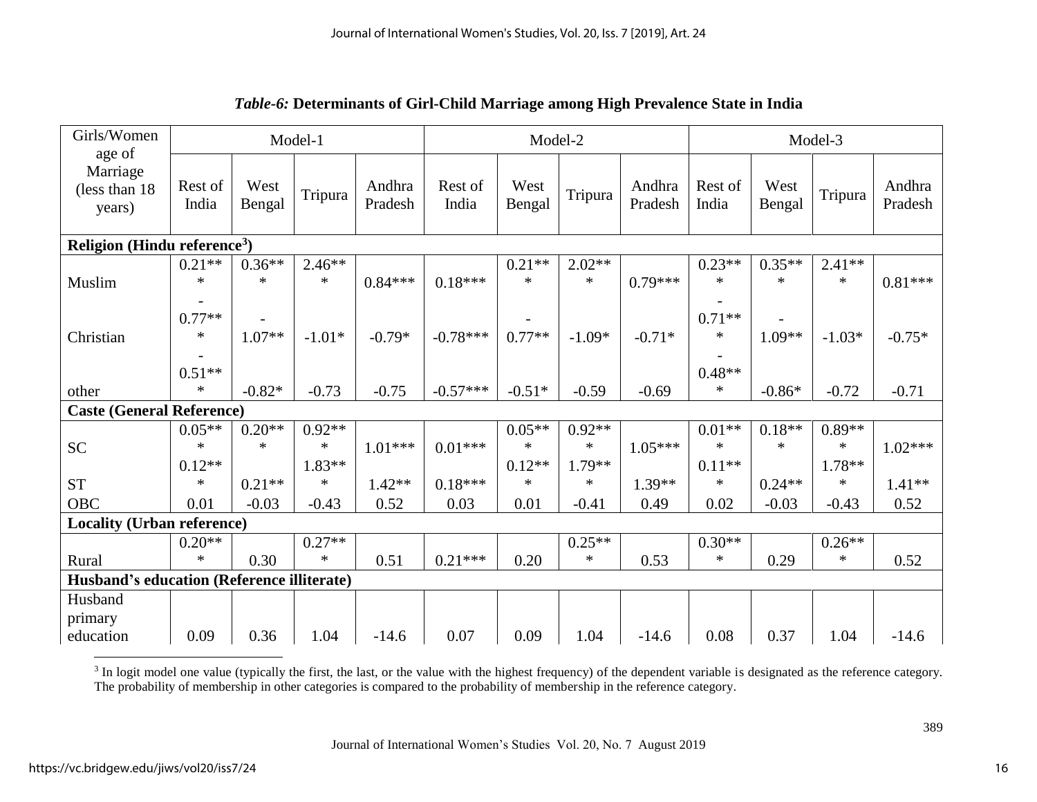| Girls/Women<br>age of                      |                    |                    | Model-1            |                   |                  | Model-2            |                    |                   |                    |                    | Model-3            |                   |
|--------------------------------------------|--------------------|--------------------|--------------------|-------------------|------------------|--------------------|--------------------|-------------------|--------------------|--------------------|--------------------|-------------------|
| Marriage<br>(less than 18)<br>years)       | Rest of<br>India   | West<br>Bengal     | Tripura            | Andhra<br>Pradesh | Rest of<br>India | West<br>Bengal     | Tripura            | Andhra<br>Pradesh | Rest of<br>India   | West<br>Bengal     | Tripura            | Andhra<br>Pradesh |
| Religion (Hindu reference <sup>3</sup> )   |                    |                    |                    |                   |                  |                    |                    |                   |                    |                    |                    |                   |
| Muslim                                     | $0.21**$<br>$\ast$ | $0.36**$<br>$\ast$ | $2.46**$<br>$\ast$ | $0.84***$         | $0.18***$        | $0.21**$<br>$\ast$ | $2.02**$<br>$\ast$ | $0.79***$         | $0.23**$<br>$\ast$ | $0.35**$<br>$\ast$ | $2.41**$<br>$\ast$ | $0.81***$         |
| Christian                                  | $0.77**$<br>∗      | $1.07**$           | $-1.01*$           | $-0.79*$          | $-0.78***$       | $0.77**$           | $-1.09*$           | $-0.71*$          | $0.71**$<br>$\ast$ | $1.09**$           | $-1.03*$           | $-0.75*$          |
|                                            | $0.51**$           |                    |                    |                   |                  |                    |                    |                   | $0.48**$           |                    |                    |                   |
| other                                      | $\ast$             | $-0.82*$           | $-0.73$            | $-0.75$           | $-0.57***$       | $-0.51*$           | $-0.59$            | $-0.69$           | $\ast$             | $-0.86*$           | $-0.72$            | $-0.71$           |
| <b>Caste (General Reference)</b>           |                    |                    |                    |                   |                  |                    |                    |                   |                    |                    |                    |                   |
|                                            | $0.05**$           | $0.20**$           | $0.92**$           |                   |                  | $0.05**$           | $0.92**$           |                   | $0.01**$           | $0.18**$           | $0.89**$           |                   |
| <b>SC</b>                                  | $\ast$             | $\ast$             | $\ast$             | $1.01***$         | $0.01***$        | $\ast$             | $\ast$             | $1.05***$         | $\ast$             | $\ast$             | $\ast$             | $1.02***$         |
|                                            | $0.12**$           |                    | $1.83**$           |                   |                  | $0.12**$           | $1.79**$           |                   | $0.11**$           |                    | $1.78**$           |                   |
| <b>ST</b>                                  | $\ast$             | $0.21**$           | $\ast$             | $1.42**$          | $0.18***$        | $\ast$             | $\ast$             | $1.39**$          | $\ast$             | $0.24**$           | $\ast$             | $1.41**$          |
| OBC                                        | 0.01               | $-0.03$            | $-0.43$            | 0.52              | 0.03             | 0.01               | $-0.41$            | 0.49              | 0.02               | $-0.03$            | $-0.43$            | 0.52              |
| <b>Locality (Urban reference)</b>          |                    |                    |                    |                   |                  |                    |                    |                   |                    |                    |                    |                   |
|                                            | $0.20**$           |                    | $0.27**$           |                   |                  |                    | $0.25**$           |                   | $0.30**$           |                    | $0.26**$           |                   |
| Rural                                      | $\ast$             | 0.30               | $\ast$             | 0.51              | $0.21***$        | 0.20               | $\ast$             | 0.53              | $\ast$             | 0.29               | $\ast$             | 0.52              |
| Husband's education (Reference illiterate) |                    |                    |                    |                   |                  |                    |                    |                   |                    |                    |                    |                   |
| Husband                                    |                    |                    |                    |                   |                  |                    |                    |                   |                    |                    |                    |                   |
| primary                                    |                    |                    |                    |                   |                  |                    |                    |                   |                    |                    |                    |                   |
| education                                  | 0.09               | 0.36               | 1.04               | $-14.6$           | 0.07             | 0.09               | 1.04               | $-14.6$           | 0.08               | 0.37               | 1.04               | $-14.6$           |

# *Table-6:* **Determinants of Girl-Child Marriage among High Prevalence State in India**

 $3$  In logit model one value (typically the first, the last, or the value with the highest frequency) of the dependent variable is designated as the reference category. The probability of membership in other categories is compared to the probability of membership in the reference category.

 $\overline{\phantom{a}}$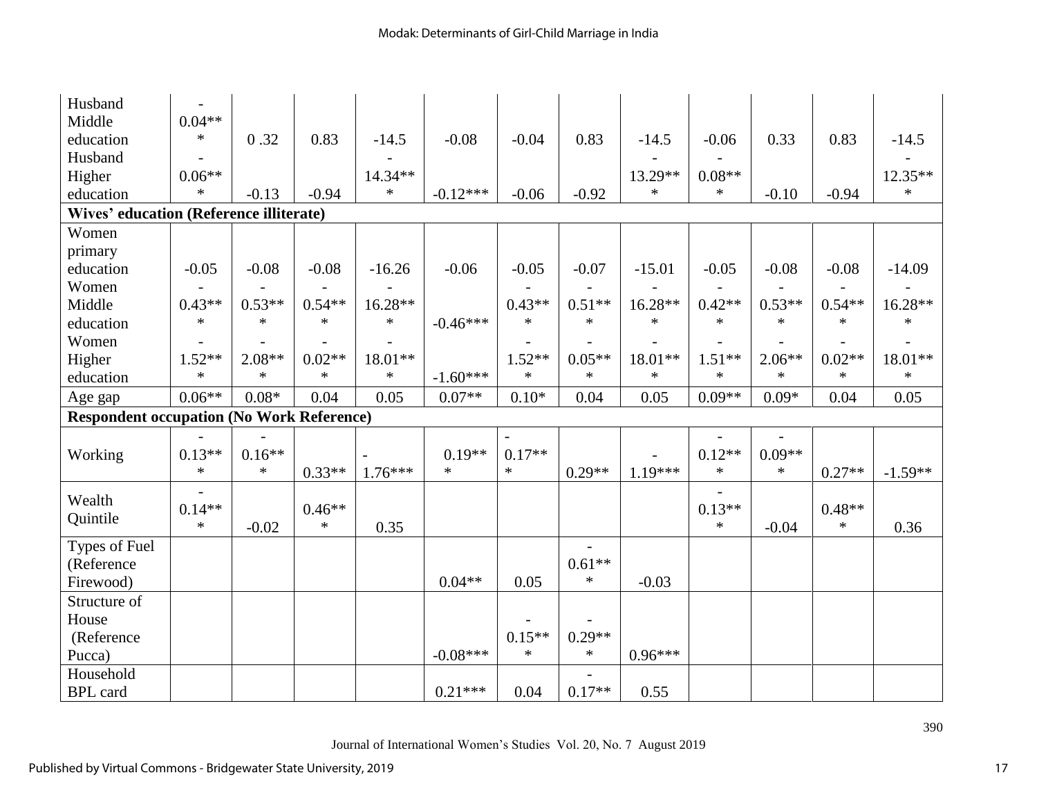| Husband                                          |          |          |          |           |            |                          |          |           |          |          |          |           |
|--------------------------------------------------|----------|----------|----------|-----------|------------|--------------------------|----------|-----------|----------|----------|----------|-----------|
| Middle                                           | $0.04**$ |          |          |           |            |                          |          |           |          |          |          |           |
| education                                        | $\ast$   | 0.32     | 0.83     | $-14.5$   | $-0.08$    | $-0.04$                  | 0.83     | $-14.5$   | $-0.06$  | 0.33     | 0.83     | $-14.5$   |
| Husband                                          |          |          |          |           |            |                          |          |           |          |          |          |           |
| Higher                                           | $0.06**$ |          |          | 14.34**   |            |                          |          | 13.29**   | $0.08**$ |          |          | 12.35**   |
| education                                        | $\ast$   | $-0.13$  | $-0.94$  | $\ast$    | $-0.12***$ | $-0.06$                  | $-0.92$  | $\ast$    | $\ast$   | $-0.10$  | $-0.94$  | $\ast$    |
| <b>Wives' education (Reference illiterate)</b>   |          |          |          |           |            |                          |          |           |          |          |          |           |
| Women                                            |          |          |          |           |            |                          |          |           |          |          |          |           |
| primary                                          |          |          |          |           |            |                          |          |           |          |          |          |           |
| education                                        | $-0.05$  | $-0.08$  | $-0.08$  | $-16.26$  | $-0.06$    | $-0.05$                  | $-0.07$  | $-15.01$  | $-0.05$  | $-0.08$  | $-0.08$  | $-14.09$  |
| Women                                            |          |          |          |           |            |                          |          |           |          |          |          |           |
| Middle                                           | $0.43**$ | $0.53**$ | $0.54**$ | 16.28**   |            | $0.43**$                 | $0.51**$ | 16.28**   | $0.42**$ | $0.53**$ | $0.54**$ | $16.28**$ |
| education                                        | $\ast$   | $\ast$   | $\ast$   | $\ast$    | $-0.46***$ | $\ast$                   | $\ast$   | $\ast$    | $\ast$   | $\ast$   | $\ast$   | $\ast$    |
| Women                                            |          |          |          |           |            |                          |          |           |          |          |          |           |
| Higher                                           | $1.52**$ | $2.08**$ | $0.02**$ | 18.01**   |            | $1.52**$                 | $0.05**$ | 18.01**   | $1.51**$ | $2.06**$ | $0.02**$ | 18.01**   |
| education                                        | $\ast$   | $\ast$   | $\ast$   | $\ast$    | $-1.60***$ | $\ast$                   | $\ast$   | $\ast$    | $\ast$   | $\ast$   | $\ast$   | $\ast$    |
| Age gap                                          | $0.06**$ | $0.08*$  | 0.04     | 0.05      | $0.07**$   | $0.10*$                  | 0.04     | 0.05      | $0.09**$ | $0.09*$  | 0.04     | 0.05      |
| <b>Respondent occupation (No Work Reference)</b> |          |          |          |           |            |                          |          |           |          |          |          |           |
|                                                  |          |          |          |           |            | $\overline{\phantom{a}}$ |          |           |          |          |          |           |
| Working                                          | $0.13**$ | $0.16**$ |          |           | $0.19**$   | $0.17**$                 |          |           | $0.12**$ | $0.09**$ |          |           |
|                                                  | $\ast$   | $\ast$   | $0.33**$ | $1.76***$ | $\ast$     | $\ast$                   | $0.29**$ | $1.19***$ | $\ast$   | $\ast$   | $0.27**$ | $-1.59**$ |
| Wealth                                           |          |          |          |           |            |                          |          |           |          |          |          |           |
|                                                  | $0.14**$ |          | $0.46**$ |           |            |                          |          |           | $0.13**$ |          | $0.48**$ |           |
| Quintile                                         | $\ast$   | $-0.02$  | $\ast$   | 0.35      |            |                          |          |           | $\ast$   | $-0.04$  | $\ast$   | 0.36      |
| Types of Fuel                                    |          |          |          |           |            |                          |          |           |          |          |          |           |
| (Reference                                       |          |          |          |           |            |                          | $0.61**$ |           |          |          |          |           |
| Firewood)                                        |          |          |          |           | $0.04**$   | 0.05                     | $\ast$   | $-0.03$   |          |          |          |           |
| Structure of                                     |          |          |          |           |            |                          |          |           |          |          |          |           |
| House                                            |          |          |          |           |            |                          |          |           |          |          |          |           |
| (Reference                                       |          |          |          |           |            | $0.15**$                 | $0.29**$ |           |          |          |          |           |
| Pucca)                                           |          |          |          |           | $-0.08***$ | $\ast$                   | $\ast$   | $0.96***$ |          |          |          |           |
| Household                                        |          |          |          |           |            |                          |          |           |          |          |          |           |
| <b>BPL</b> card                                  |          |          |          |           | $0.21***$  | 0.04                     | $0.17**$ | 0.55      |          |          |          |           |

Journal of International Women's Studies Vol. 20, No. 7 August 2019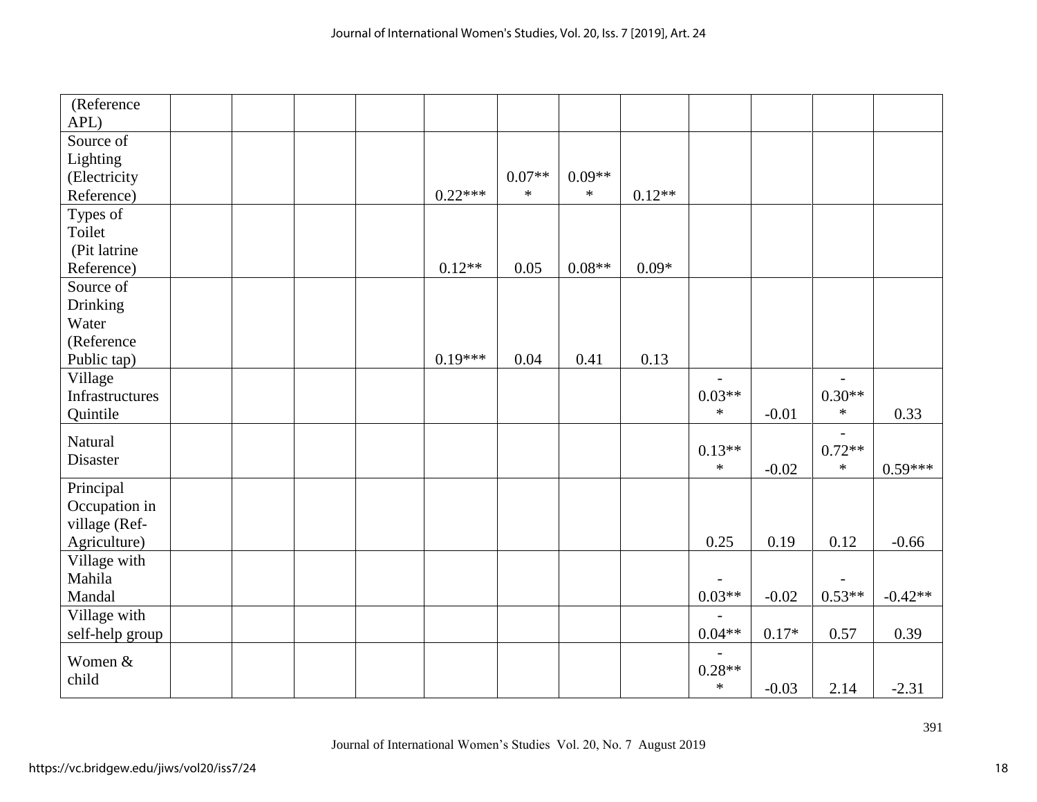| (Reference<br>APL) |  |  |           |          |          |          |          |         |                          |           |
|--------------------|--|--|-----------|----------|----------|----------|----------|---------|--------------------------|-----------|
| Source of          |  |  |           |          |          |          |          |         |                          |           |
| Lighting           |  |  |           |          |          |          |          |         |                          |           |
| (Electricity       |  |  |           | $0.07**$ | $0.09**$ |          |          |         |                          |           |
| Reference)         |  |  | $0.22***$ | $\ast$   | $\ast$   | $0.12**$ |          |         |                          |           |
| Types of           |  |  |           |          |          |          |          |         |                          |           |
| Toilet             |  |  |           |          |          |          |          |         |                          |           |
| (Pit latrine       |  |  |           |          |          |          |          |         |                          |           |
| Reference)         |  |  | $0.12**$  | 0.05     | $0.08**$ | $0.09*$  |          |         |                          |           |
| Source of          |  |  |           |          |          |          |          |         |                          |           |
| Drinking           |  |  |           |          |          |          |          |         |                          |           |
| Water              |  |  |           |          |          |          |          |         |                          |           |
| (Reference         |  |  |           |          |          |          |          |         |                          |           |
| Public tap)        |  |  | $0.19***$ | 0.04     | 0.41     | 0.13     |          |         |                          |           |
| Village            |  |  |           |          |          |          |          |         | $\overline{\phantom{a}}$ |           |
| Infrastructures    |  |  |           |          |          |          | $0.03**$ |         | $0.30**$                 |           |
| Quintile           |  |  |           |          |          |          | $\ast$   | $-0.01$ | $\ast$                   | 0.33      |
| Natural            |  |  |           |          |          |          |          |         | $\overline{a}$           |           |
| Disaster           |  |  |           |          |          |          | $0.13**$ |         | $0.72**$                 |           |
|                    |  |  |           |          |          |          | $\ast$   | $-0.02$ | $\ast$                   | $0.59***$ |
| Principal          |  |  |           |          |          |          |          |         |                          |           |
| Occupation in      |  |  |           |          |          |          |          |         |                          |           |
| village (Ref-      |  |  |           |          |          |          |          |         |                          |           |
| Agriculture)       |  |  |           |          |          |          | 0.25     | 0.19    | 0.12                     | $-0.66$   |
| Village with       |  |  |           |          |          |          |          |         |                          |           |
| Mahila             |  |  |           |          |          |          |          |         |                          |           |
| Mandal             |  |  |           |          |          |          | $0.03**$ | $-0.02$ | $0.53**$                 | $-0.42**$ |
| Village with       |  |  |           |          |          |          |          |         |                          |           |
| self-help group    |  |  |           |          |          |          | $0.04**$ | $0.17*$ | 0.57                     | 0.39      |
| Women &            |  |  |           |          |          |          |          |         |                          |           |
| child              |  |  |           |          |          |          | $0.28**$ |         |                          |           |
|                    |  |  |           |          |          |          | $\ast$   | $-0.03$ | 2.14                     | $-2.31$   |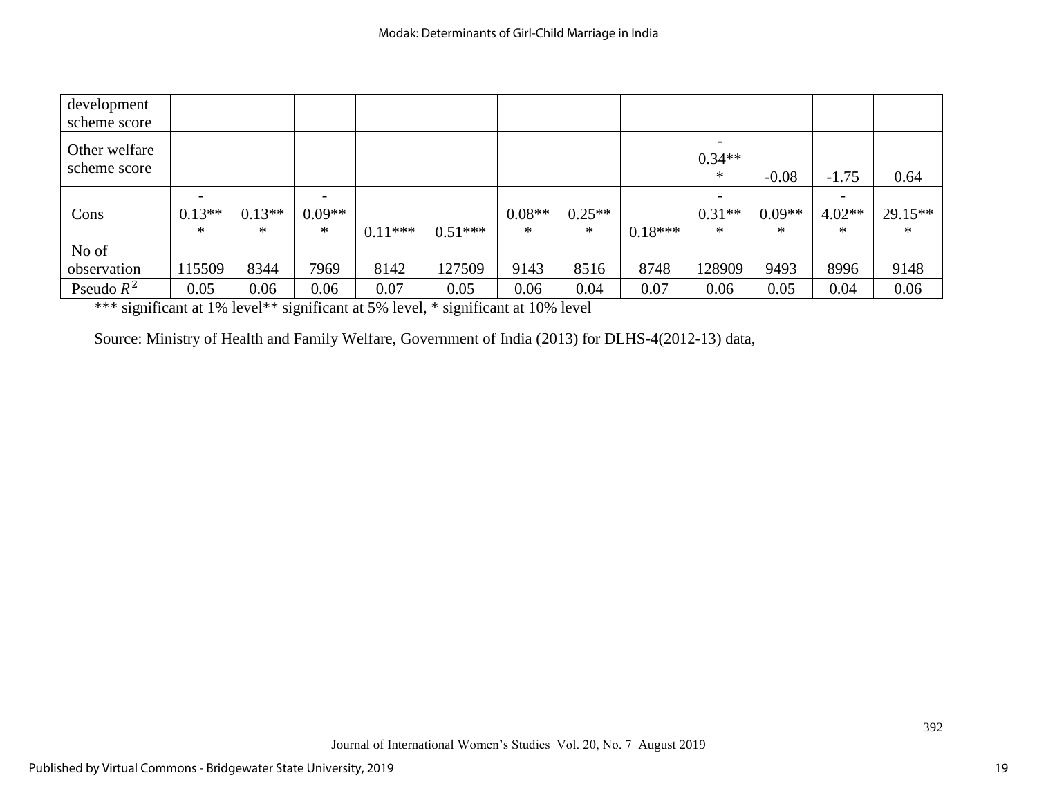| development<br>scheme score   |                          |          |                          |           |           |          |          |           |                 |          |          |           |
|-------------------------------|--------------------------|----------|--------------------------|-----------|-----------|----------|----------|-----------|-----------------|----------|----------|-----------|
| Other welfare<br>scheme score |                          |          |                          |           |           |          |          |           | $0.34**$<br>$*$ |          |          |           |
|                               |                          |          |                          |           |           |          |          |           |                 | $-0.08$  | $-1.75$  | 0.64      |
|                               | $\overline{\phantom{a}}$ |          | $\overline{\phantom{a}}$ |           |           |          |          |           |                 |          |          |           |
| Cons                          | $0.13**$                 | $0.13**$ | $0.09**$                 |           |           | $0.08**$ | $0.25**$ |           | $0.31**$        | $0.09**$ | $4.02**$ | $29.15**$ |
|                               | *                        | ∗        | ∗                        | $0.11***$ | $0.51***$ | $\ast$   | $\ast$   | $0.18***$ | $*$             | ∗        | $\ast$   | $\ast$    |
| No of                         |                          |          |                          |           |           |          |          |           |                 |          |          |           |
| observation                   | 115509                   | 8344     | 7969                     | 8142      | 127509    | 9143     | 8516     | 8748      | 128909          | 9493     | 8996     | 9148      |
| Pseudo $R^2$                  | 0.05                     | 0.06     | 0.06                     | 0.07      | 0.05      | 0.06     | 0.04     | 0.07      | 0.06            | 0.05     | 0.04     | 0.06      |

\*\*\* significant at 1% level\*\* significant at 5% level, \* significant at 10% level

Source: Ministry of Health and Family Welfare, Government of India (2013) for DLHS-4(2012-13) data,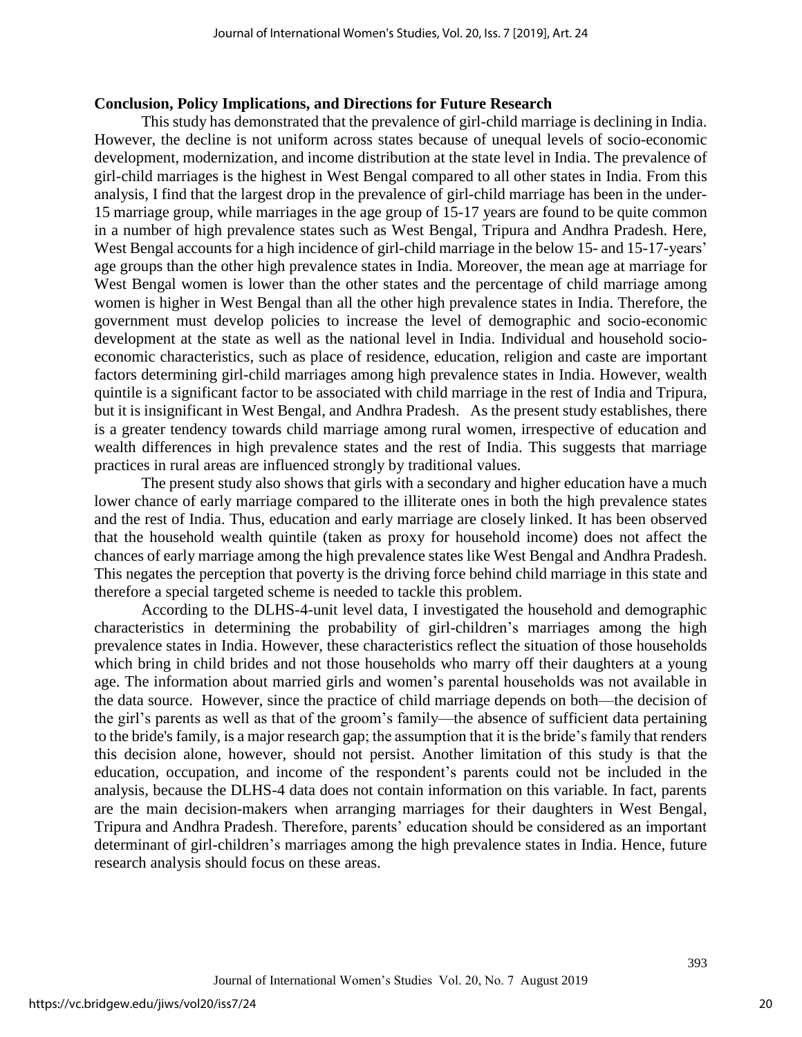## **Conclusion, Policy Implications, and Directions for Future Research**

This study has demonstrated that the prevalence of girl-child marriage is declining in India. However, the decline is not uniform across states because of unequal levels of socio-economic development, modernization, and income distribution at the state level in India. The prevalence of girl-child marriages is the highest in West Bengal compared to all other states in India. From this analysis, I find that the largest drop in the prevalence of girl-child marriage has been in the under-15 marriage group, while marriages in the age group of 15-17 years are found to be quite common in a number of high prevalence states such as West Bengal, Tripura and Andhra Pradesh. Here, West Bengal accounts for a high incidence of girl-child marriage in the below 15- and 15-17-years' age groups than the other high prevalence states in India. Moreover, the mean age at marriage for West Bengal women is lower than the other states and the percentage of child marriage among women is higher in West Bengal than all the other high prevalence states in India. Therefore, the government must develop policies to increase the level of demographic and socio-economic development at the state as well as the national level in India. Individual and household socioeconomic characteristics, such as place of residence, education, religion and caste are important factors determining girl-child marriages among high prevalence states in India. However, wealth quintile is a significant factor to be associated with child marriage in the rest of India and Tripura, but it is insignificant in West Bengal, and Andhra Pradesh. As the present study establishes, there is a greater tendency towards child marriage among rural women, irrespective of education and wealth differences in high prevalence states and the rest of India. This suggests that marriage practices in rural areas are influenced strongly by traditional values.

The present study also shows that girls with a secondary and higher education have a much lower chance of early marriage compared to the illiterate ones in both the high prevalence states and the rest of India. Thus, education and early marriage are closely linked. It has been observed that the household wealth quintile (taken as proxy for household income) does not affect the chances of early marriage among the high prevalence states like West Bengal and Andhra Pradesh. This negates the perception that poverty is the driving force behind child marriage in this state and therefore a special targeted scheme is needed to tackle this problem.

According to the DLHS-4-unit level data, I investigated the household and demographic characteristics in determining the probability of girl-children's marriages among the high prevalence states in India. However, these characteristics reflect the situation of those households which bring in child brides and not those households who marry off their daughters at a young age. The information about married girls and women's parental households was not available in the data source. However, since the practice of child marriage depends on both—the decision of the girl's parents as well as that of the groom's family—the absence of sufficient data pertaining to the bride's family, is a major research gap; the assumption that it is the bride's family that renders this decision alone, however, should not persist. Another limitation of this study is that the education, occupation, and income of the respondent's parents could not be included in the analysis, because the DLHS-4 data does not contain information on this variable. In fact, parents are the main decision-makers when arranging marriages for their daughters in West Bengal, Tripura and Andhra Pradesh. Therefore, parents' education should be considered as an important determinant of girl-children's marriages among the high prevalence states in India. Hence, future research analysis should focus on these areas.